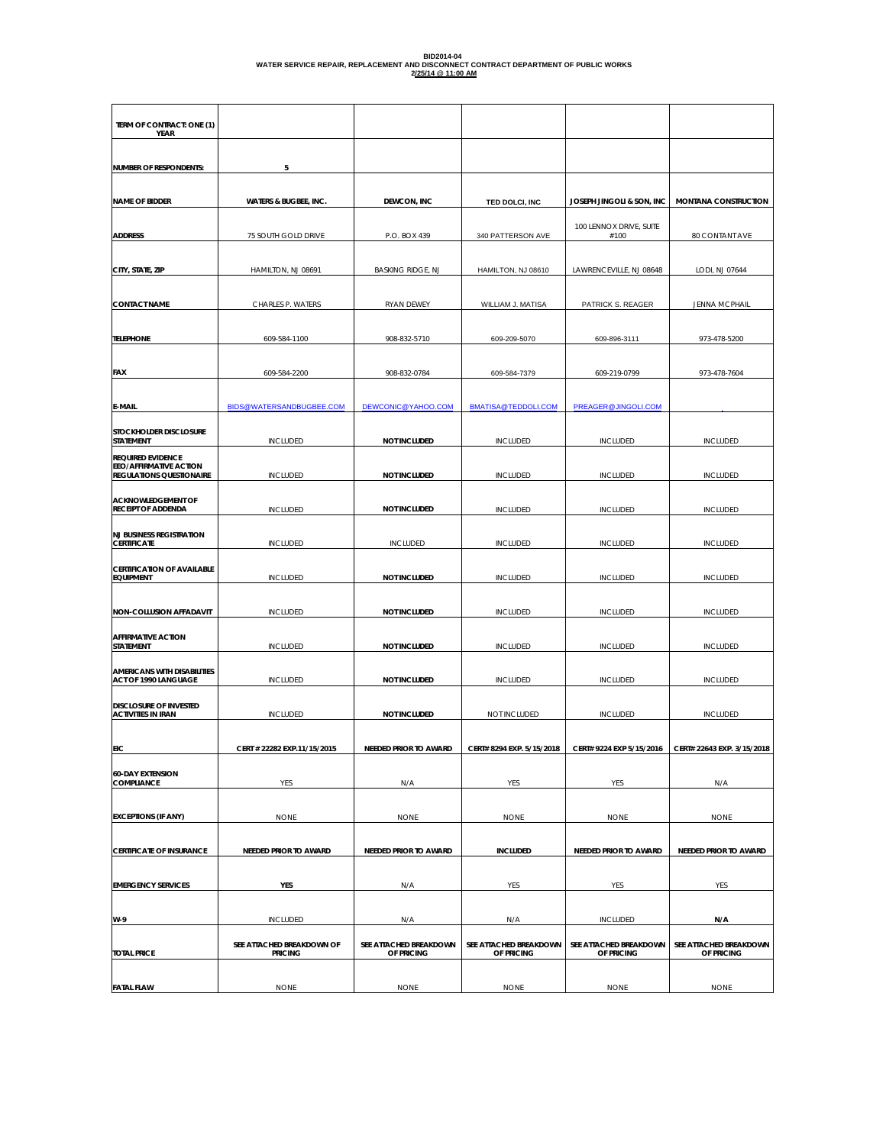# **BID2014-04 WATER SERVICE REPAIR, REPLACEMENT AND DISCONNECT CONTRACT DEPARTMENT OF PUBLIC WORKS 2/25/14 @ 11:00 AM**

| TERM OF CONTRACT: ONE (1)<br>YEAR                                                     |                                             |                                      |                                      |                                      |                                      |
|---------------------------------------------------------------------------------------|---------------------------------------------|--------------------------------------|--------------------------------------|--------------------------------------|--------------------------------------|
| <b>NUMBER OF RESPONDENTS:</b>                                                         | 5                                           |                                      |                                      |                                      |                                      |
|                                                                                       |                                             |                                      |                                      |                                      |                                      |
| NAME OF BIDDER                                                                        | <b>WATERS &amp; BUGBEE, INC.</b>            | DEWCON, INC                          | TED DOLCI, INC                       | JOSEPH JINGOLI & SON, INC            | MONTANA CONSTRUCTION                 |
| <b>ADDRESS</b>                                                                        | 75 SOUTH GOLD DRIVE                         | P.O. BOX 439                         | 340 PATTERSON AVE                    | 100 LENNOX DRIVE, SUITE<br>#100      | 80 CONTANT AVE                       |
| CITY, STATE, ZIP                                                                      | HAMILTON, NJ 08691                          | <b>BASKING RIDGE, NJ</b>             | HAMILTON, NJ 08610                   | LAWRENCEVILLE, NJ 08648              | LODI, NJ 07644                       |
| <b>CONTACT NAME</b>                                                                   | CHARLES P. WATERS                           | RYAN DEWEY                           | WILLIAM J. MATISA                    | PATRICK S. REAGER                    | <b>JENNA MCPHAIL</b>                 |
| <b>TELEPHONE</b>                                                                      | 609-584-1100                                | 908-832-5710                         | 609-209-5070                         | 609-896-3111                         | 973-478-5200                         |
| FAX                                                                                   | 609-584-2200                                | 908-832-0784                         | 609-584-7379                         | 609-219-0799                         | 973-478-7604                         |
| E-MAIL                                                                                | BIDS@WATERSANDBUGBEE.COM                    | DEWCONIC@YAHOO.COM                   | BMATISA@TEDDOLI.COM                  | PREAGER@JINGOLI.COM                  |                                      |
| STOCKHOLDER DISCLOSURE<br>STATEMENT                                                   | <b>INCLUDED</b>                             | <b>NOT INCLUDED</b>                  | INCLUDED                             | INCLUDED                             | <b>INCLUDED</b>                      |
| <b>REQUIRED EVIDENCE</b><br>EEO/AFFIRMATIVE ACTION<br><b>REGULATIONS QUESTIONAIRE</b> | <b>INCLUDED</b>                             | <b>NOT INCLUDED</b>                  | INCLUDED                             | <b>INCLUDED</b>                      | <b>INCLUDED</b>                      |
| <b>ACKNOWLEDGEMENT OF</b><br><b>RECEIPT OF ADDENDA</b>                                | <b>INCLUDED</b>                             | <b>NOT INCLUDED</b>                  | <b>INCLUDED</b>                      | <b>INCLUDED</b>                      | INCLUDED                             |
| <b>NJ BUSINESS REGISTRATION</b><br><b>CERTIFICATE</b>                                 | INCLUDED                                    | <b>INCLUDED</b>                      | INCLUDED                             | <b>INCLUDED</b>                      | INCLUDED                             |
| <b>CERTIFICATION OF AVAILABLE</b><br><b>EQUIPMENT</b>                                 | INCLUDED                                    | <b>NOT INCLUDED</b>                  | INCLUDED                             | INCLUDED                             | <b>INCLUDED</b>                      |
| NON-COLLUSION AFFADAVIT                                                               | <b>INCLUDED</b>                             | <b>NOT INCLUDED</b>                  | <b>INCLUDED</b>                      | <b>INCLUDED</b>                      | <b>INCLUDED</b>                      |
| <b>AFFIRMATIVE ACTION</b><br><b>STATEMENT</b>                                         | <b>INCLUDED</b>                             | <b>NOT INCLUDED</b>                  | <b>INCLUDED</b>                      | <b>INCLUDED</b>                      | <b>INCLUDED</b>                      |
| <b>AMERICANS WITH DISABILITIES</b><br>ACT OF 1990 LANGUAGE                            | INCLUDED                                    | <b>NOT INCLUDED</b>                  | INCLUDED                             | INCLUDED                             | <b>INCLUDED</b>                      |
| DISCLOSURE OF INVESTED<br><b>ACTIVITIES IN IRAN</b>                                   | INCLUDED                                    | <b>NOT INCLUDED</b>                  | NOT INCLUDED                         | INCLUDED                             | <b>INCLUDED</b>                      |
| EIC                                                                                   | CERT # 22282 EXP.11/15/2015                 | NEEDED PRIOR TO AWARD                | CERT# 8294 EXP. 5/15/2018            | CERT# 9224 EXP 5/15/2016             | CERT# 22643 EXP. 3/15/2018           |
| <b>60-DAY EXTENSION</b><br>COMPLIANCE                                                 | YES                                         | N/A                                  | YES                                  | YES                                  | N/A                                  |
| <b>EXCEPTIONS (IF ANY)</b>                                                            | <b>NONE</b>                                 | <b>NONE</b>                          | <b>NONE</b>                          | <b>NONE</b>                          | <b>NONE</b>                          |
| <b>CERTIFICATE OF INSURANCE</b>                                                       | <b>NEEDED PRIOR TO AWARD</b>                | NEEDED PRIOR TO AWARD                | <b>INCLUDED</b>                      | <b>NEEDED PRIOR TO AWARD</b>         | NEEDED PRIOR TO AWARD                |
| <b>EMERGENCY SERVICES</b>                                                             | YES                                         | N/A                                  | YES                                  | YES                                  | YES                                  |
| W-9                                                                                   | <b>INCLUDED</b>                             | N/A                                  | N/A                                  | <b>INCLUDED</b>                      | N/A                                  |
| <b>TOTAL PRICE</b>                                                                    | SEE ATTACHED BREAKDOWN OF<br><b>PRICING</b> | SEE ATTACHED BREAKDOWN<br>OF PRICING | SEE ATTACHED BREAKDOWN<br>OF PRICING | SEE ATTACHED BREAKDOWN<br>OF PRICING | SEE ATTACHED BREAKDOWN<br>OF PRICING |
| <b>FATAL FLAW</b>                                                                     | <b>NONE</b>                                 | <b>NONE</b>                          | <b>NONE</b>                          | <b>NONE</b>                          | <b>NONE</b>                          |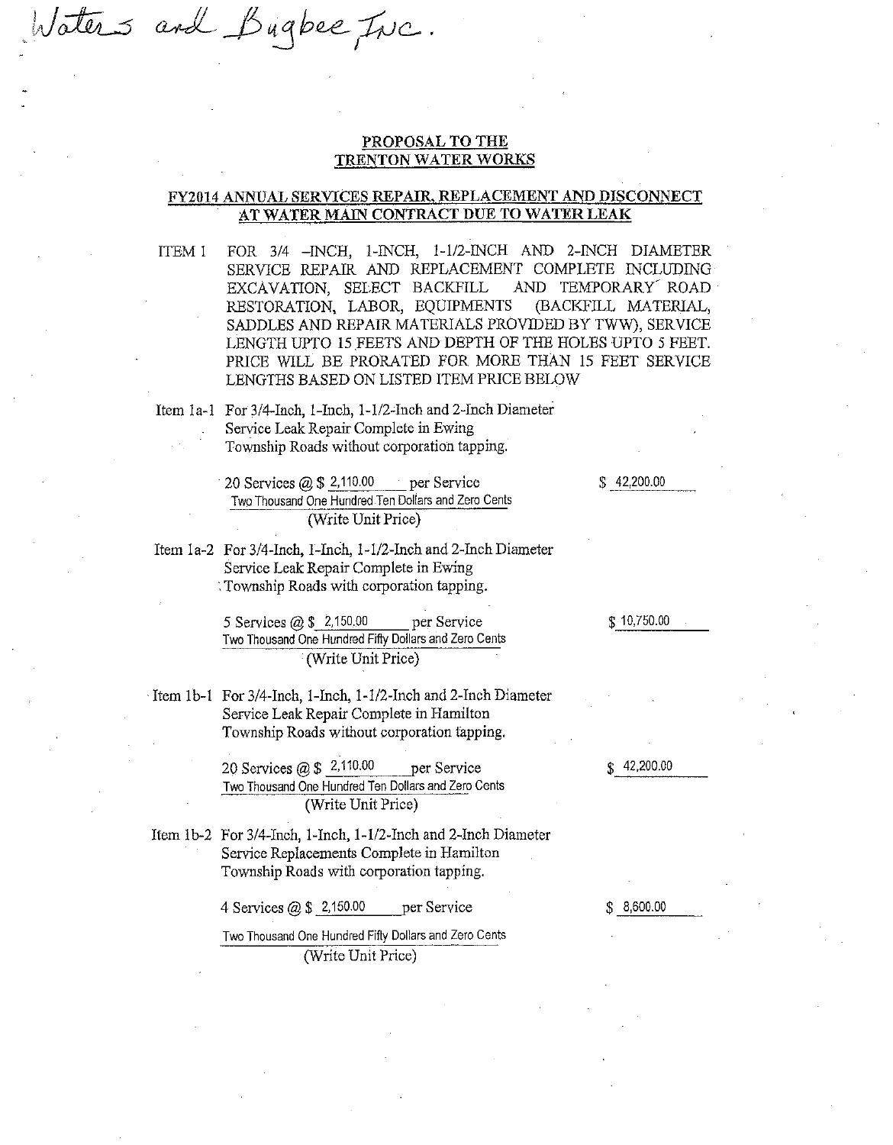laters and Bugbee Inc.

### PROPOSAL TO THE **TRENTON WATER WORKS**

### FY2014 ANNUAL SERVICES REPAIR, REPLACEMENT AND DISCONNECT AT WATER MAIN CONTRACT DUE TO WATER LEAK

FOR 3/4 - INCH, 1-INCH, 1-1/2-INCH AND 2-INCH DIAMETER ITEM 1 SERVICE REPAIR AND REPLACEMENT COMPLETE INCLUDING EXCAVATION, SELECT BACKFILL AND TEMPORARY ROAD RESTORATION, LABOR, EQUIPMENTS (BACKFILL MATERIAL, SADDLES AND REPAIR MATERIALS PROVIDED BY TWW), SERVICE LENGTH UPTO 15 FEETS AND DEPTH OF THE HOLES UPTO 5 FEET. PRICE WILL BE PRORATED FOR MORE THAN 15 FEET SERVICE LENGTHS BASED ON LISTED ITEM PRICE BELOW

Item 1a-1 For 3/4-Inch, 1-Inch, 1-1/2-Inch and 2-Inch Diameter Service Leak Repair Complete in Ewing Township Roads without corporation tapping.

> 20 Services  $(2)$ , \$ 2,110.00 per Service Two Thousand One Hundred Ten Dollars and Zero Cents (Write Unit Price)

 $$42,200.00$ 

Item 1a-2 For 3/4-Inch, 1-Inch, 1-1/2-Inch and 2-Inch Diameter Service Leak Repair Complete in Ewing Township Roads with corporation tapping.

> 5 Services  $\omega$  \$ 2,150.00 per Service Two Thousand One Hundred Fifty Dollars and Zero Cents (Write Unit Price)

Item 1b-1 For 3/4-Inch, 1-Inch, 1-1/2-Inch and 2-Inch Diameter Service Leak Repair Complete in Hamilton Township Roads without corporation tapping.

> 20 Services @ \$ 2,110.00 per Service Two Thousand One Hundred Ten Dollars and Zero Cents (Write Unit Price)

Item 1b-2 For 3/4-Inch, 1-Inch, 1-1/2-Inch and 2-Inch Diameter Service Replacements Complete in Hamilton Township Roads with corporation tapping.

> 4 Services  $@$  \$ 2,150.00 per Service

Two Thousand One Hundred Fifty Dollars and Zero Cents (Write Unit Price)

\$10,750.00

 $$42,200.00$ 

 $$8,600.00$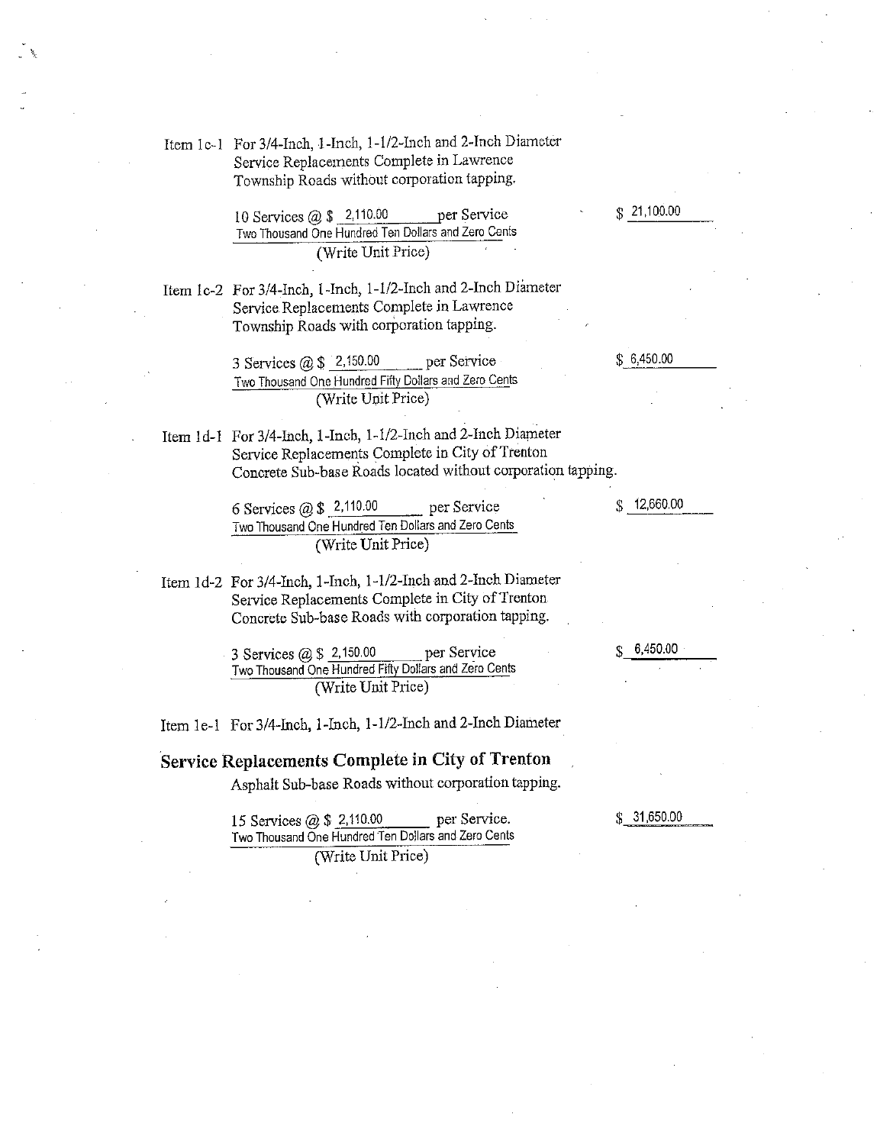Item 1c-1 For 3/4-Inch, 1-Inch, 1-1/2-Inch and 2-Inch Diameter Service Replacements Complete in Lawrence Township Roads without corporation tapping.

> 10 Services @ \$ 2,110.00 per Service Two Thousand One Hundred Ten Dollars and Zero Cents (Write Unit Price)

Item 1c-2 For 3/4-Inch, 1-Inch, 1-1/2-Inch and 2-Inch Diameter Service Replacements Complete in Lawrence Township Roads with corporation tapping.

> 3 Services  $(2, 150.00)$ per Service Two Thousand One Hundred Fifty Dollars and Zero Cents (Write Unit Price)

Item 1d-1 For 3/4-Inch, 1-Inch, 1-1/2-Inch and 2-Inch Diameter Service Replacements Complete in City of Trenton Concrete Sub-base Roads located without corporation tapping.

> 6 Services  $@ $ 2,110.00$ per Service Two Thousand One Hundred Ten Dollars and Zero Cents (Write Unit Price)

Item 1d-2 For 3/4-Inch, 1-Inch, 1-1/2-Inch and 2-Inch Diameter Service Replacements Complete in City of Trenton Concrete Sub-base Roads with corporation tapping.

> per Service 3 Services  $(2)$  \$ 2,150.00 Two Thousand One Hundred Fifty Dollars and Zero Cents (Write Unit Price)

Item 1e-1 For 3/4-Inch, 1-Inch, 1-1/2-Inch and 2-Inch Diameter

## Service Replacements Complete in City of Trenton

Asphalt Sub-base Roads without corporation tapping.

15 Services @ \$ 2,110.00 per Service. Two Thousand One Hundred Ten Dollars and Zero Cents (Write Unit Price)

 $$12,660.00$ 

 $$31,650.00$ 

6,450.00

¢

 $$6,450.00$ 

 $$21,100.00$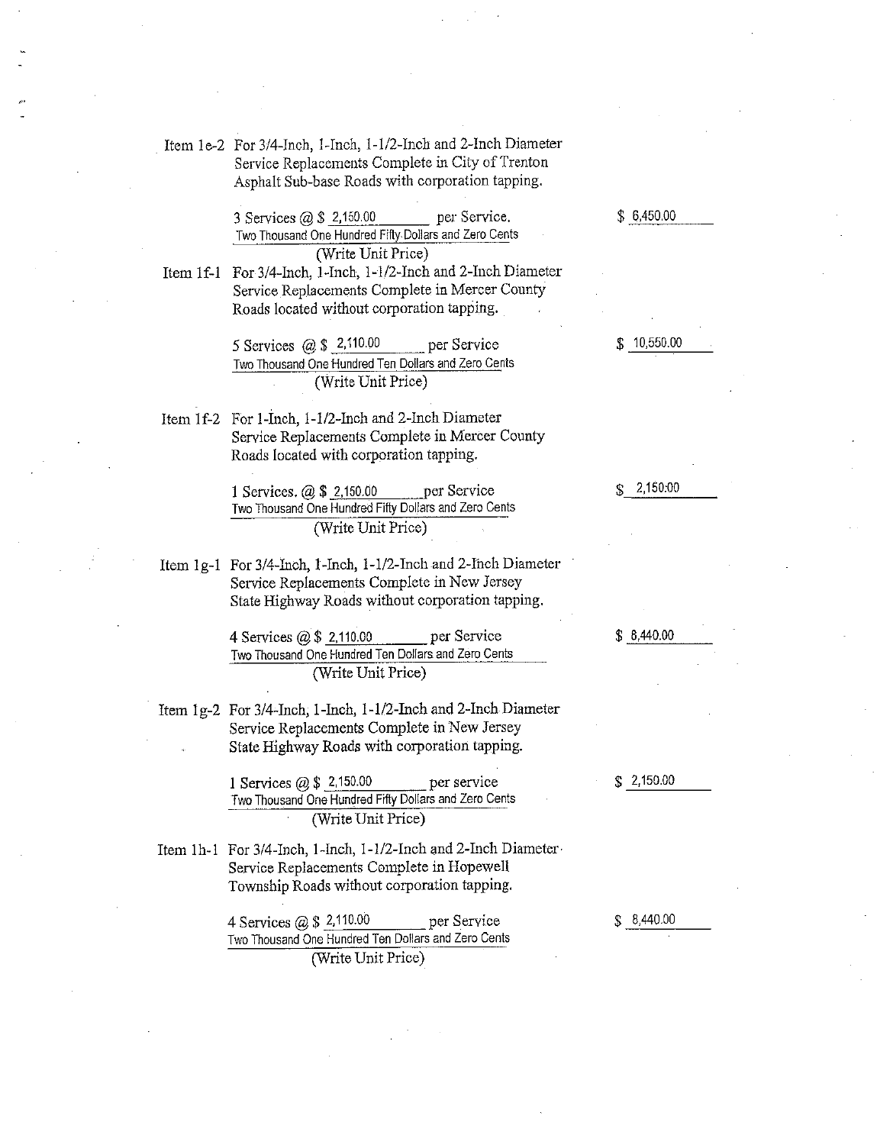Item 1e-2 For 3/4-Inch, 1-Inch, 1-1/2-Inch and 2-Inch Diameter Service Replacements Complete in City of Trenton Asphalt Sub-base Roads with corporation tapping.

> 3 Services  $(2)$  \$ 2,150.00 per Service. Two Thousand One Hundred Fifty Dollars and Zero Cents (Write Unit Price)

Item 1f-1 For 3/4-Inch, 1-Inch, 1-1/2-Inch and 2-Inch Diameter Service Replacements Complete in Mercer County Roads located without corporation tapping.

> 5 Services  $@ $ 2,110.00$ per Service Two Thousand One Hundred Ten Dollars and Zero Cents (Write Unit Price)

Item 1f-2 For 1-Inch, 1-1/2-Inch and 2-Inch Diameter Service Replacements Complete in Mercer County Roads located with corporation tapping.

> 1 Services.  $(a)$  \$ 2,150.00 per Service Two Thousand One Hundred Fifty Dollars and Zero Cents (Write Unit Price)

Item 1g-1 For 3/4-Inch, 1-Inch, 1-1/2-Inch and 2-Inch Diameter Service Replacements Complete in New Jersey State Highway Roads without corporation tapping.

> per Service 4 Services @ \$ 2,110.00 Two Thousand One Hundred Ten Dollars and Zero Cents (Write Unit Price)

Item 1g-2 For 3/4-Inch, 1-Inch, 1-1/2-Inch and 2-Inch Diameter Service Replacements Complete in New Jersey State Highway Roads with corporation tapping.

> 1 Services  $(2)$ , \$ 2,150.00 per service Two Thousand One Hundred Fifty Dollars and Zero Cents (Write Unit Price)

Item 1h-1 For 3/4-Inch, 1-Inch, 1-1/2-Inch and 2-Inch Diameter Service Replacements Complete in Hopewell Township Roads without corporation tapping.

> 4 Services  $\omega$  \$ 2,110.00 per Service Two Thousand One Hundred Ten Dollars and Zero Cents (Write Unit Price)

 $$6,450.00$ 

\$10,550.00

2,150.00

 $$8,440.00$ 

 $$2,150.00$ 

 $$8,440.00$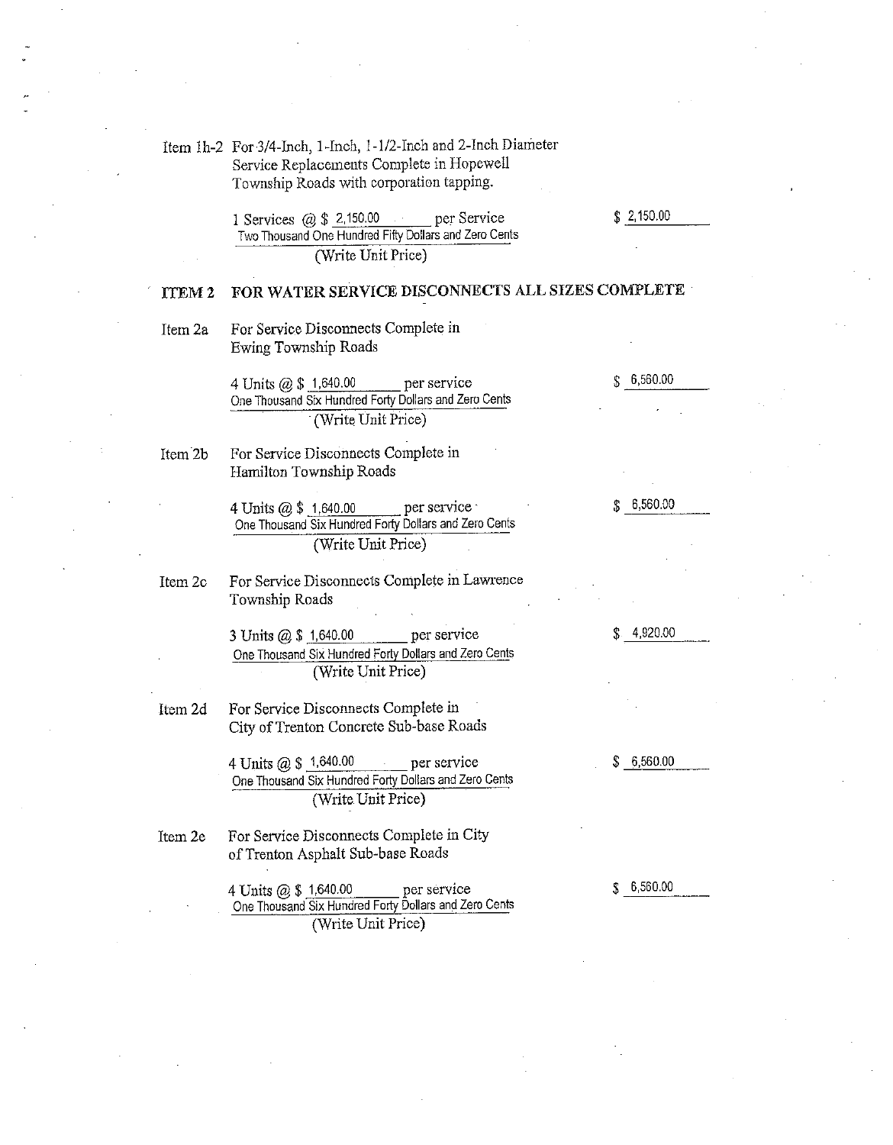Item 1h-2 For 3/4-Inch, 1-Inch, 1-1/2-Inch and 2-Inch Diameter Service Replacements Complete in Hopewell Township Roads with corporation tapping.

> 1 Services  $(a)$  \$ 2,150.00 per Service Two Thousand One Hundred Fifty Dollars and Zero Cents (Write Unit Price)

FOR WATER SERVICE DISCONNECTS ALL SIZES COMPLETE ITEM<sub>2</sub>

For Service Disconnects Complete in Item 2a Ewing Township Roads

> 4 Units @ \$ 1,640.00 per service One Thousand Six Hundred Forty Dollars and Zero Cents (Write Unit Price)

For Service Disconnects Complete in Item 2b Hamilton Township Roads

> per service 4 Units @ \$ 1,640.00 One Thousand Six Hundred Forty Dollars and Zero Cents (Write Unit Price)

Item 2c For Service Disconnects Complete in Lawrence Township Roads

> 3 Units @ \$ 1,640.00 per service One Thousand Six Hundred Forty Dollars and Zero Cents (Write Unit Price)

Item 2d For Service Disconnects Complete in City of Trenton Concrete Sub-base Roads

> 4 Units @ \$ 1,640.00 per service One Thousand Six Hundred Forty Dollars and Zero Cents (Write Unit Price)

For Service Disconnects Complete in City Item 2e of Trenton Asphalt Sub-base Roads

> 4 Units @ \$ 1,640.00 per service One Thousand Six Hundred Forty Dollars and Zero Cents (Write Unit Price)

6,560.00 \$

 $$2,150.00$ 

6,560.00  $\mathbf{f}_\mathrm{b}$ 

4,920.00 \$

6,560.00

S.

 $$6,560.00$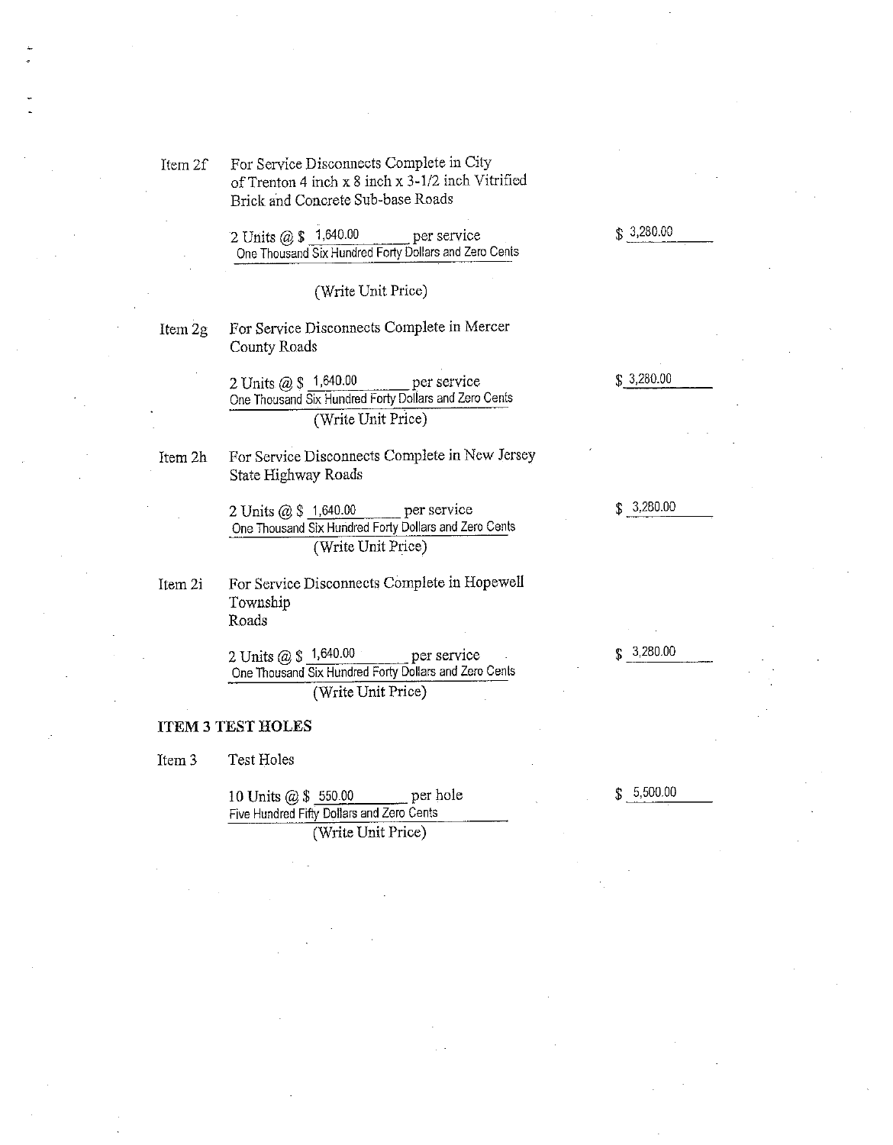For Service Disconnects Complete in City Item 2f of Trenton 4 inch x 8 inch x 3-1/2 inch Vitrified Brick and Concrete Sub-base Roads

> 2 Units @ \$ 1,640.00 per service One Thousand Six Hundred Forty Dollars and Zero Cents

> > (Write Unit Price)

For Service Disconnects Complete in Mercer Item 2g County Roads

> per service 2 Units @ \$ 1,640.00 One Thousand Six Hundred Forty Dollars and Zero Cents (Write Unit Price)

Item 2h

For Service Disconnects Complete in New Jersey State Highway Roads

2 Units @ \$ 1,640.00 per service One Thousand Six Hundred Forty Dollars and Zero Cents (Write Unit Price)

For Service Disconnects Complete in Hopewell Item 2i Township Roads

> 2 Units @ \$ 1,640.00 per service One Thousand Six Hundred Forty Dollars and Zero Cents (Write Unit Price)

### **ITEM 3 TEST HOLES**

**Test Holes** Item<sub>3</sub>

> 10 Units @ \$ 550.00 per hole Five Hundred Fifty Dollars and Zero Cents (Write Unit Price)

 $$3,280.00$ 

 $$3,280.00$ 

 $$3,280.00$ 

 $$3,280.00$ 

5,500.00 \$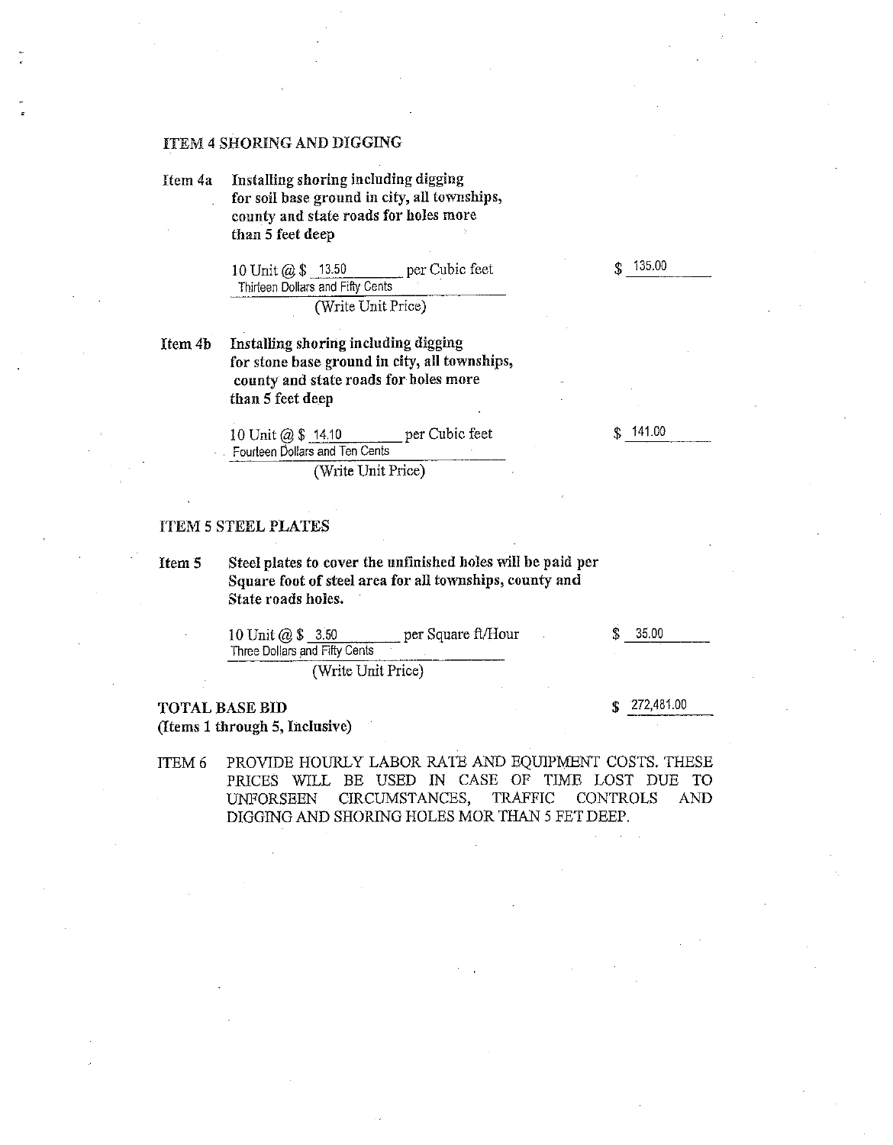#### **ITEM 4 SHORING AND DIGGING**

Installing shoring including digging Item 4a for soil base ground in city, all townships, county and state roads for holes more than 5 feet deep

> 10 Unit @ \$ 13.50 per Cubic feet Thirteen Dollars and Fifty Cents (Write Unit Price)

Installing shoring including digging Item 4b for stone base ground in city, all townships, county and state roads for holes more than 5 feet deep

> 10 Unit @ \$ 14.10 per Cubic feet Fourteen Dollars and Ten Cents (Write Unit Price)

#### **ITEM 5 STEEL PLATES**

Steel plates to cover the unfinished holes will be paid per Item 5 Square foot of steel area for all townships, county and State roads holes.

| 10 Unit $(0.8, 3.50)$         | per Square ft/Hour | \$35,00 |
|-------------------------------|--------------------|---------|
| Three Dollars and Fifty Cents |                    |         |
|                               |                    |         |

(Write Unit Price)

## **TOTAL BASE BID**

(Items 1 through 5, Inclusive)

272,481.00 S

PROVIDE HOURLY LABOR RATE AND EQUIPMENT COSTS. THESE ITEM 6 PRICES WILL BE USED IN CASE OF TIME LOST DUE TO **UNFORSEEN** CIRCUMSTANCES, TRAFFIC **CONTROLS AND** DIGGING AND SHORING HOLES MOR THAN 5 FET DEEP.

135.00  $\mathbf{\hat{S}}$ 

141.00  $\mathcal{L}$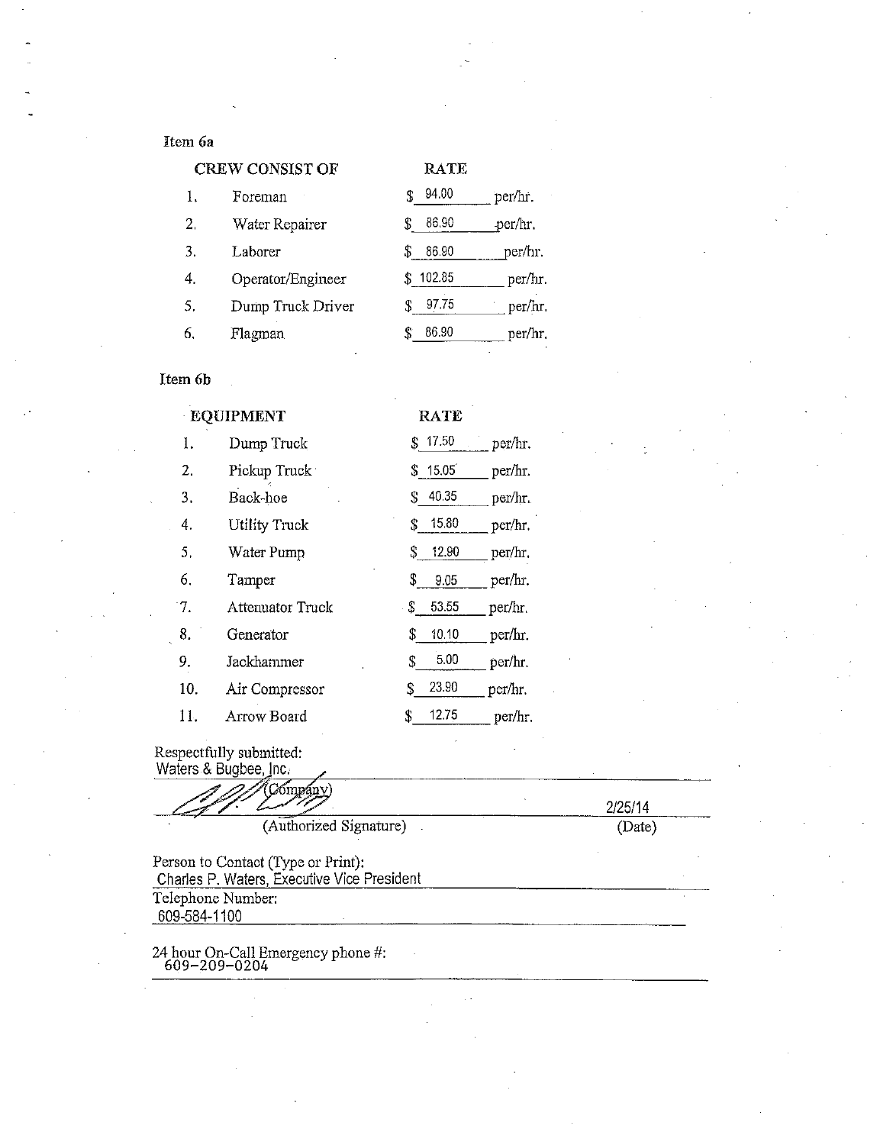## Item 6a

|    | <b>CREW CONSIST OF</b> | <b>RATE</b> |         |
|----|------------------------|-------------|---------|
| 1. | Foreman                | 94.00       | per/hr. |
| 2. | Water Repairer         | 86.90<br>S  | per/hr. |
| 3. | Laborer                | S<br>86.90  | per/hr. |
| 4. | Operator/Engineer      | 102.85      | per/hr. |
| 5. | Dump Truck Driver      | 97.75<br>S  | per/hr  |
| 6. | Flagman                | 86.90       | per/hr. |

## Item 6b

#### EQUIPMENT **RATE**  $\bar{1}$  $$17.50$ Dump Truck per/hr.  $2.$ Pickup Truck  $$ 15.05$ per/hr.  $3.$ Back-hoe  $$ 40.35$ per/hr. 4. **Utility Truck**  $$ 15.80$ per/hr.  $5.$ Water Pump per/hr.  $$ 12.90$ 6. Tamper  $9.05$ per/hr.  $S_{-}$  $7.$ 53.55 **Attenuator Truck**  $\mathbb{S}^$ per/hr. 8.  $$ 10.10$ per/hr. Generator 9.  $5.00$ Jackhammer  ${\mathbb S}$ per/hr.  $10.$ 23.90 Air Compressor per/hr. \$ 11. 12.75 Arrow Board \$ per/hr.

Respectfully submitted:

| Cómpány                                     | 2/25/14 |
|---------------------------------------------|---------|
| (Authorized Signature)                      | (Date)  |
| Person to Contact (Type or Print):          |         |
| Charles P. Waters, Executive Vice President |         |
|                                             |         |
| Telephone Number:                           |         |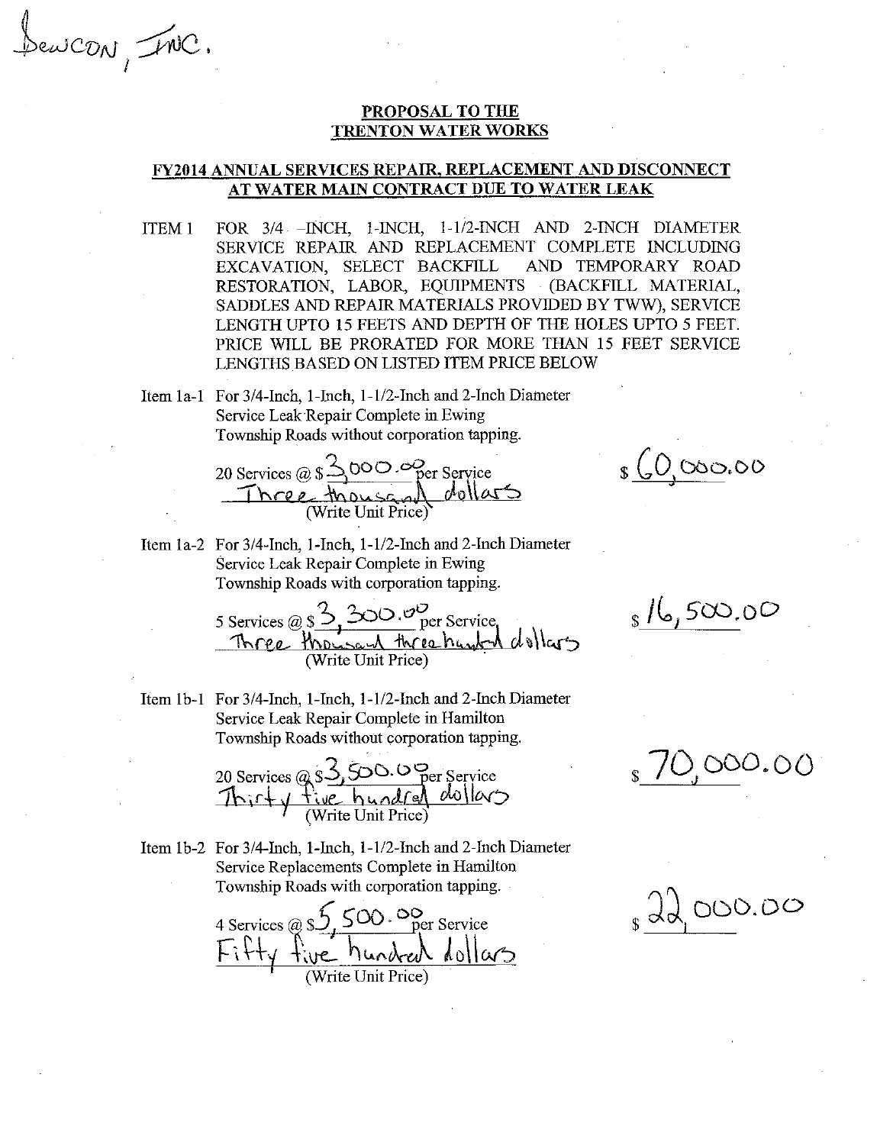Sencon, INC.

## PROPOSAL TO THE **TRENTON WATER WORKS**

## **FY2014 ANNUAL SERVICES REPAIR, REPLACEMENT AND DISCONNECT** AT WATER MAIN CONTRACT DUE TO WATER LEAK

- FOR 3/4 INCH, 1-INCH, 1-1/2-INCH AND 2-INCH DIAMETER ITEM<sub>1</sub> SERVICE REPAIR AND REPLACEMENT COMPLETE INCLUDING EXCAVATION, SELECT BACKFILL AND TEMPORARY ROAD RESTORATION, LABOR, EQUIPMENTS (BACKFILL MATERIAL, SADDLES AND REPAIR MATERIALS PROVIDED BY TWW), SERVICE LENGTH UPTO 15 FEETS AND DEPTH OF THE HOLES UPTO 5 FEET. PRICE WILL BE PRORATED FOR MORE THAN 15 FEET SERVICE LENGTHS BASED ON LISTED ITEM PRICE BELOW
- Item 1a-1 For 3/4-Inch, 1-Inch, 1-1/2-Inch and 2-Inch Diameter Service Leak Repair Complete in Ewing Township Roads without corporation tapping.

20 Services @ \$ 3000.00 Per Service<br>Three thousand dollars

Item 1a-2 For 3/4-Inch, 1-Inch, 1-1/2-Inch and 2-Inch Diameter Service Leak Repair Complete in Ewing Township Roads with corporation tapping.

Item 1b-1 For 3/4-Inch, 1-Inch, 1-1/2-Inch and 2-Inch Diameter Service Leak Repair Complete in Hamilton Township Roads without corporation tapping.

20 Services @ \$3,500.0 Per Service<br>Thirty five hundred dollars

Item 1b-2 For 3/4-Inch, 1-Inch, 1-1/2-Inch and 2-Inch Diameter Service Replacements Complete in Hamilton Township Roads with corporation tapping.

4 Services @ \$5,500.00 per Service<br>Fifty five hundred dollars

 $s(0,000,00)$ 

 $_{s}$  /6,500.00

 $10,000.00$ 

 $s$  dd 000.00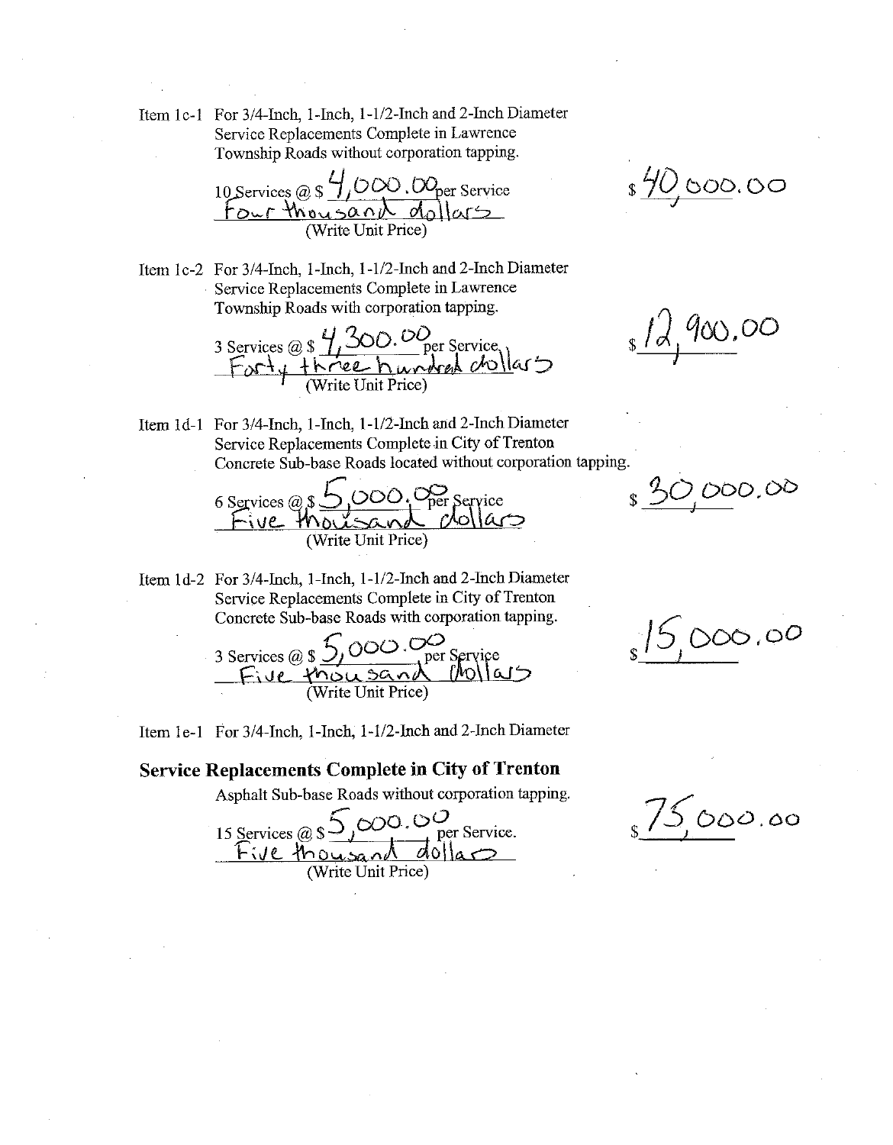Item 1c-1 For 3/4-Inch, 1-Inch, 1-1/2-Inch and 2-Inch Diameter Service Replacements Complete in Lawrence Township Roads without corporation tapping.

10 Services @  $\frac{4}{1000}$ .  $OQ_{per}$  Service<br>four thousand dollars

Item 1c-2 For 3/4-Inch, 1-Inch, 1-1/2-Inch and 2-Inch Diameter Service Replacements Complete in Lawrence Township Roads with corporation tapping.

3 Services @ \$ 4,300.00<br>Forty three hundred chollars

\$40,000.00

 $s/d$  900.00

Item 1d-1 For 3/4-Inch, 1-Inch, 1-1/2-Inch and 2-Inch Diameter Service Replacements Complete in City of Trenton Concrete Sub-base Roads located without corporation tapping.

6 Services @ \$5,000. Oper Service<br>Five thousand dollars

Item 1d-2 For 3/4-Inch, 1-Inch, 1-1/2-Inch and 2-Inch Diameter Service Replacements Complete in City of Trenton Concrete Sub-base Roads with corporation tapping.

3 Services @ \$ 5,000.00 per service<br>Five thou sand Mollars

Item 1e-1 For 3/4-Inch, 1-Inch, 1-1/2-Inch and 2-Inch Diameter

## **Service Replacements Complete in City of Trenton**

Asphalt Sub-base Roads without corporation tapping.

15 Services @ \$5,000.00<br>Five thousand dollars

\$30,000.00

 $s/5,000.00$ 

 $\sqrt{5000.00}$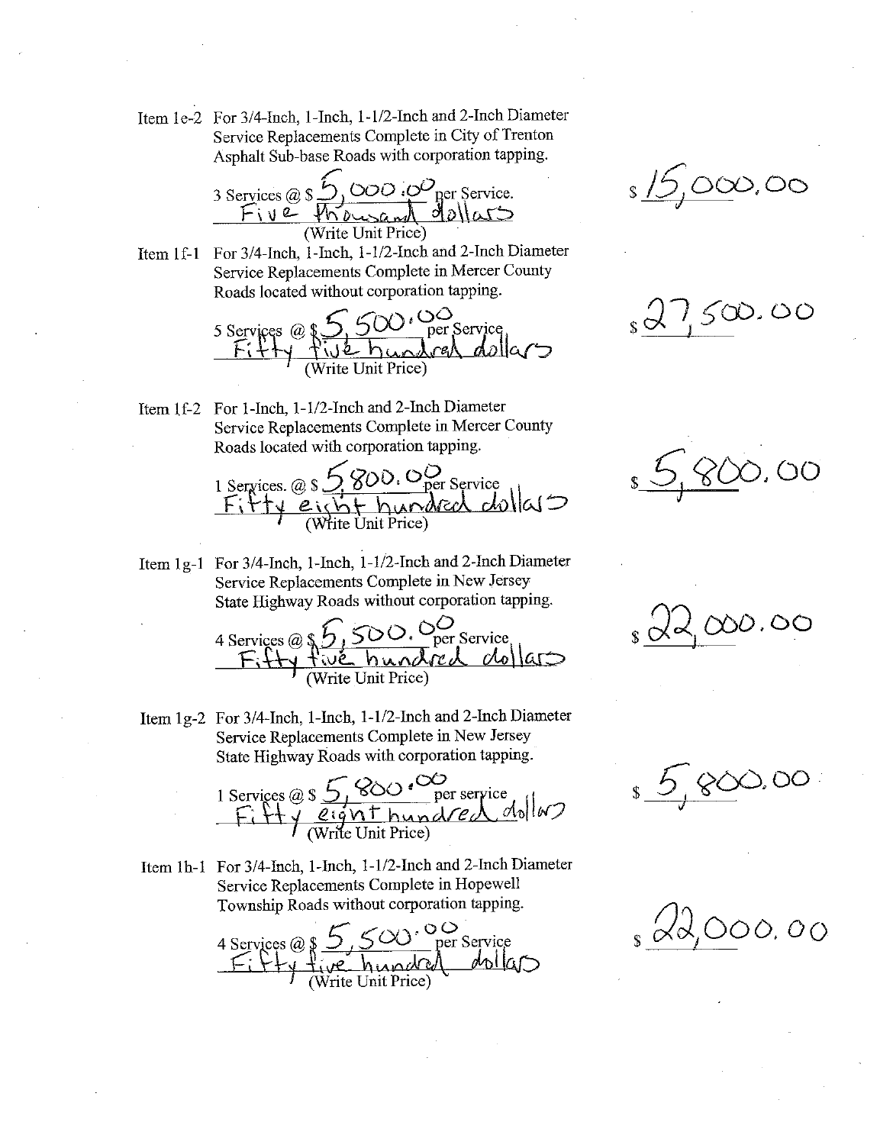Item 1e-2 For 3/4-Inch, 1-Inch, 1-1/2-Inch and 2-Inch Diameter Service Replacements Complete in City of Trenton Asphalt Sub-base Roads with corporation tapping.

3 Services @ \$ 5,000.00 per Service. (Write Unit Price)

Item 1f-1 For 3/4-Inch, 1-Inch, 1-1/2-Inch and 2-Inch Diameter Service Replacements Complete in Mercer County Roads located without corporation tapping.

5 Services @ \$5,500.00 per service<br>Fitty five hundred dollars

Item 1f-2 For 1-Inch, 1-1/2-Inch and 2-Inch Diameter Service Replacements Complete in Mercer County Roads located with corporation tapping.

Item 1g-1 For 3/4-Inch, 1-Inch, 1-1/2-Inch and 2-Inch Diameter Service Replacements Complete in New Jersey State Highway Roads without corporation tapping.

Item 1g-2 For 3/4-Inch, 1-Inch, 1-1/2-Inch and 2-Inch Diameter Service Replacements Complete in New Jersey State Highway Roads with corporation tapping.

1 Services @ s 5,800.00 per service<br>Fifty eight hundred dollars

Item 1h-1 For 3/4-Inch, 1-Inch, 1-1/2-Inch and 2-Inch Diameter Service Replacements Complete in Hopewell Township Roads without corporation tapping.

4 Services @  $S_{y}$   $S_{y}$   $S_{y}$  per Service<br> $F: F+y + \frac{1}{2}$  hundred dollars

<u>s 15,000,00</u>

 $s \, \dot{\alpha}$  1,500.00



 $14,000.00$ 

 $\circlearrowright$  $s \frac{6}{100}$  800.

 $\alpha$  (22,000,00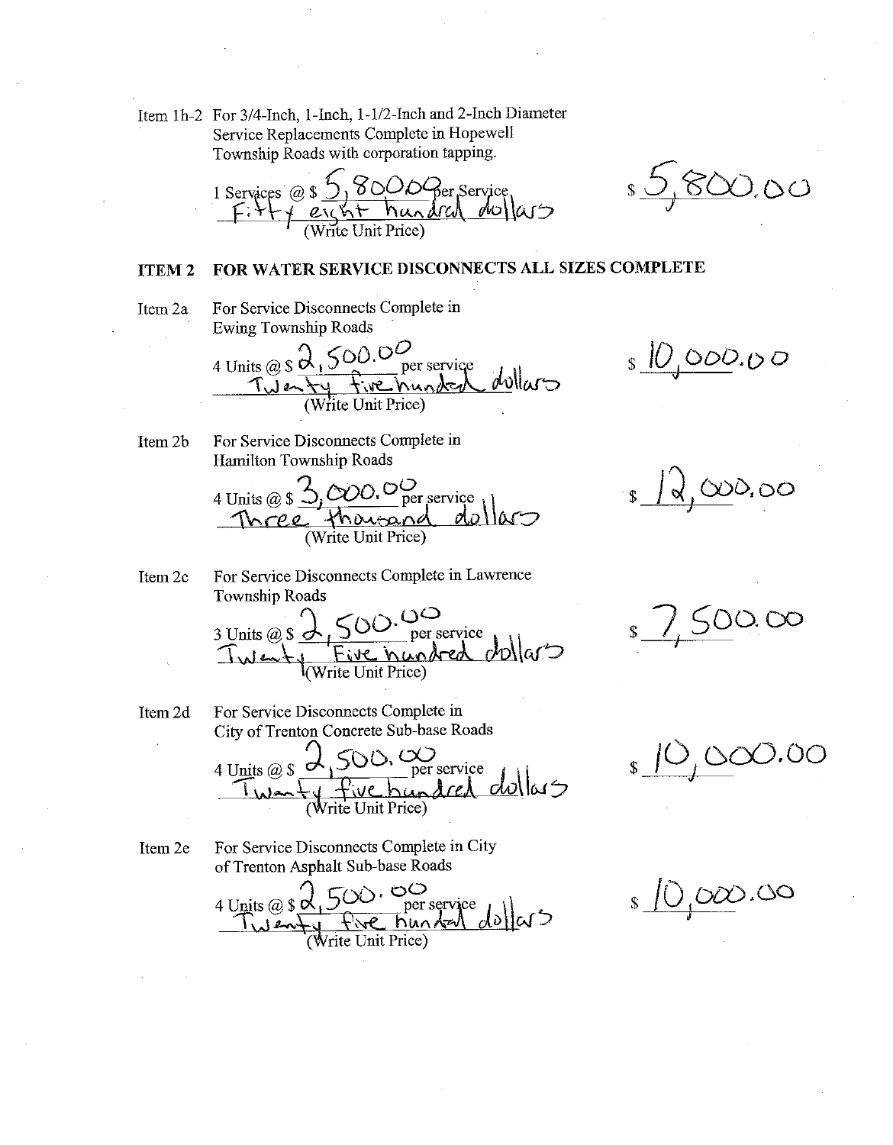Item 1h-2 For 3/4-Inch, 1-Inch, 1-1/2-Inch and 2-Inch Diameter Service Replacements Complete in Hopewell Township Roads with corporation tapping.

1 Services @  $\frac{5}{1}$ , 8000 Ger Service<br>Fi + + eight hundred duffaus

<u>s 5,800.00</u>

#### FOR WATER SERVICE DISCONNECTS ALL SIZES COMPLETE **ITEM2**

- Item 2a
- For Service Disconnects Complete in **Ewing Township Roads**

4 Units @  $\sin^2\theta$ ,  $500.0\frac{O}{N}$ per service dollars  $T\overline{w}$ enty <u>vehunded</u> (Write Unit Price)

 $S <sub>1</sub> \cup _{1} \cup _{2} \cup _{2} \cup _{3}$ 

For Service Disconnects Complete in Item 2b Hamilton Township Roads

4 Units @ \$ 3,000.00 per service

 $d,000,00$ 

Item 2c For Service Disconnects Complete in Lawrence Township Roads

For Service Disconnects Complete in Item 2d City of Trenton Concrete Sub-base Roads

4 Units @ s 2,500. Wer service<br>Twenty five hundred dellars

Item 2e

For Service Disconnects Complete in City of Trenton Asphalt Sub-base Roads

4 Units @ \$ 0,500. OC<br>Twenty Pive hundred dollars

 $1,500.00$ 

\$ 10,000.00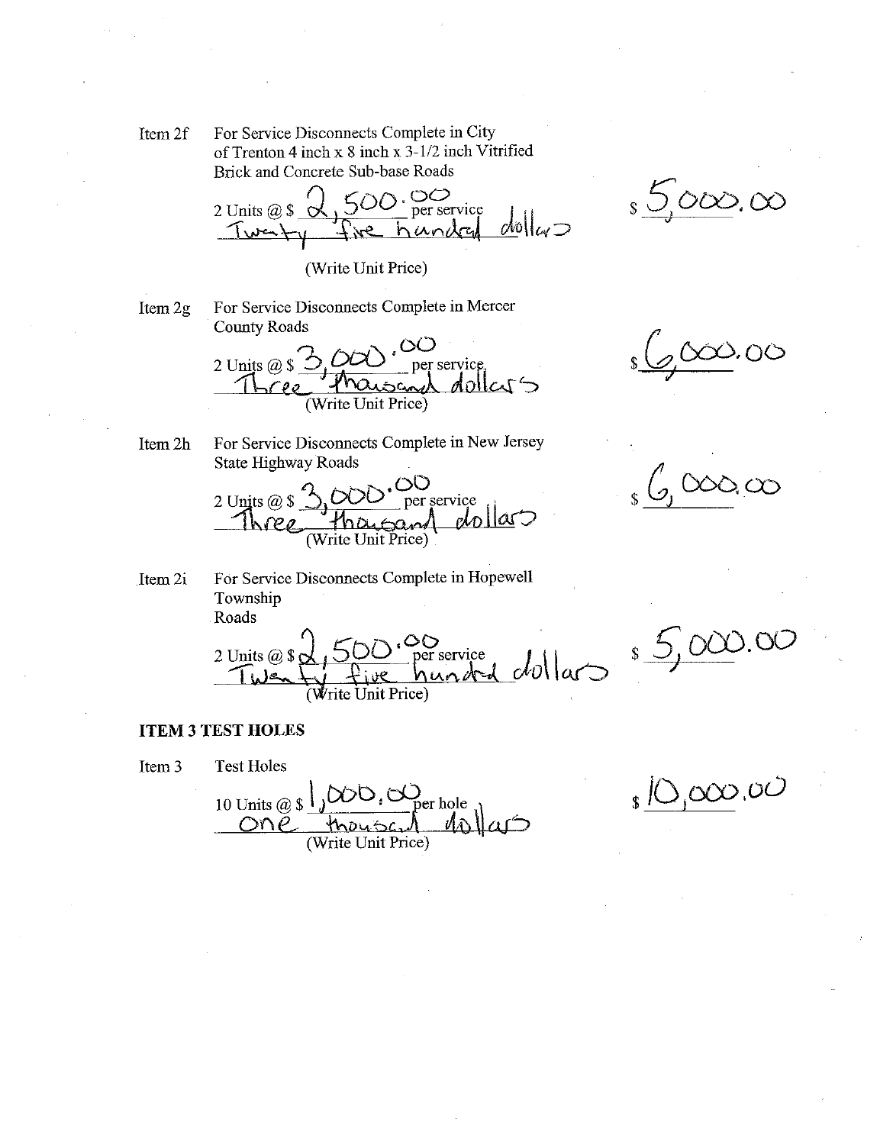For Service Disconnects Complete in City Item 2f of Trenton 4 inch x 8 inch x 3-1/2 inch Vitrified Brick and Concrete Sub-base Roads

500.00 2 Units  $@S$ per service  $dw|_{\omega}$ handa Twat

(Write Unit Price)

Item 2g

For Service Disconnects Complete in Mercer **County Roads** 

2 Units  $\omega$  \$ per service dollars Write Unit Price)

For Service Disconnects Complete in New Jersey Item 2h **State Highway Roads** 



 $6,00000$ 

 $2,000,00$ 

 $s\leq 0$ 000.00

For Service Disconnects Complete in Hopewell Item 2i Township Roads

2 Units @ \$ 0,500.00 per service<br>Twenty five hunded dollars Write Unit Price)

#### **ITEM 3 TEST HOLES**

**Test Holes** Item<sub>3</sub> 10 Units @ s JOOD, Oper hole<br>One thouse 10  $\mathcal{M}$ 

 $\sqrt{s}$   $\sqrt{2}$ ,000,00

\$ 5,000.00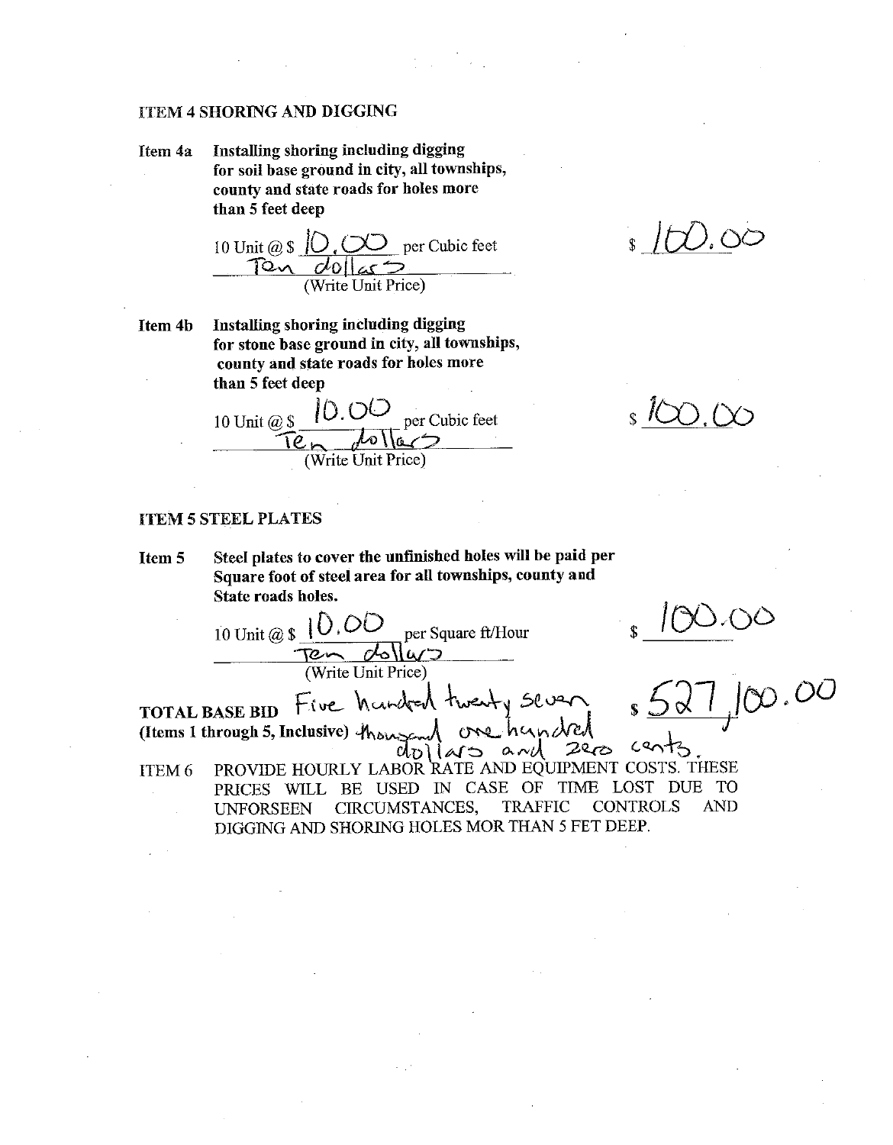#### **ITEM 4 SHORING AND DIGGING**

Installing shoring including digging Item 4a for soil base ground in city, all townships, county and state roads for holes more than 5 feet deep

Installing shoring including digging Item 4b for stone base ground in city, all townships, county and state roads for holes more than 5 feet deep

10.00 per Cubic feet 10 Unit @ \$ Ten dollars (Write Unit Price)

 $\mathbb{S}$ 

## **ITEM 5 STEEL PLATES**

Steel plates to cover the unfinished holes will be paid per **Item 5** Square foot of steel area for all townships, county and State roads holes.

10 Unit @  $\oint$  |  $\bigcup$ , OO per Square ft/Hour Ten dollars (Write Unit Price)

 $\frac{100.00}{527.00}$ 

Five handed twenty sever **TOTAL BASE BID** one hundred (Items 1 through 5, Inclusive) thousa and 2ers  $d_D$  $145$ PROVIDE HOURLY LABOR RATE AND EQUIPMENT COSTS. THESE

ITEM<sub>6</sub> PRICES WILL BE USED IN CASE OF TIME LOST DUE TO CIRCUMSTANCES. **TRAFFIC CONTROLS AND UNFORSEEN** DIGGING AND SHORING HOLES MOR THAN 5 FET DEEP.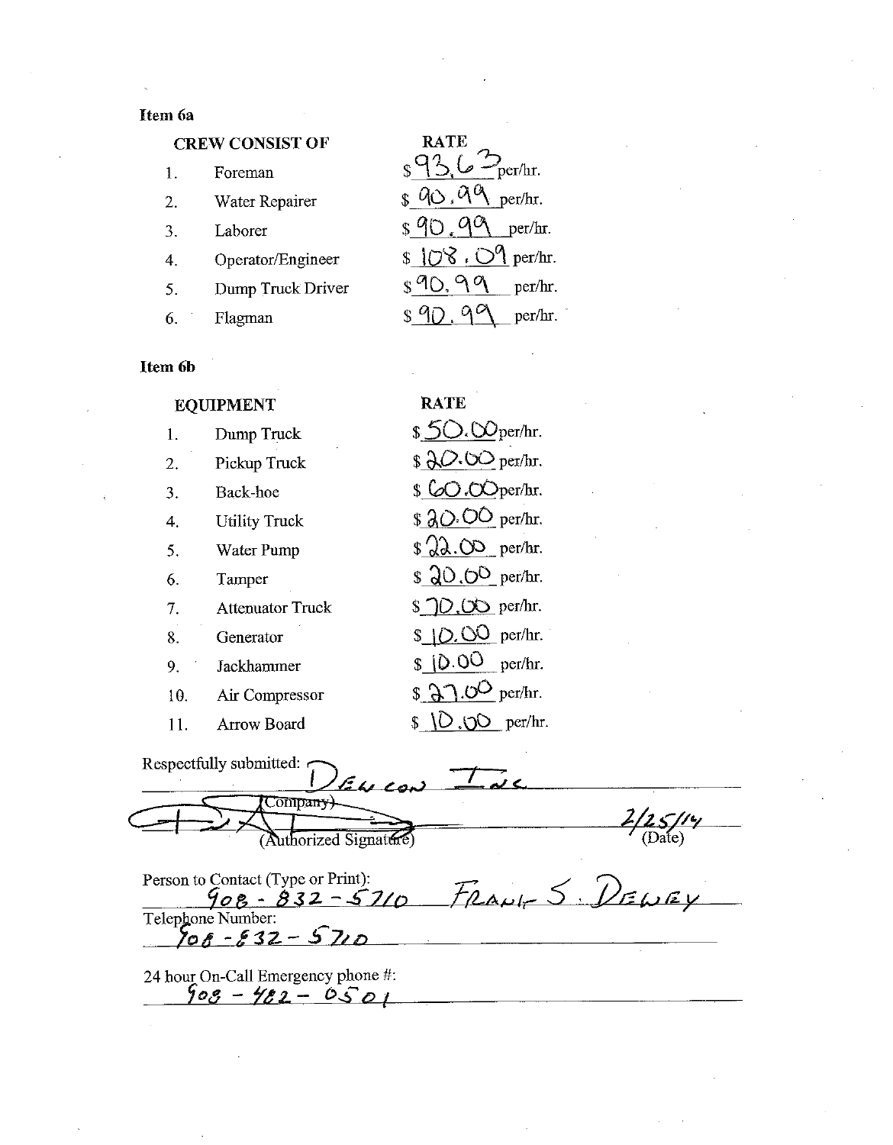## Item 6a

## **CREW CONSIST OF**

| $\mathbf{1}$ . | Foreman           | )<br>per/hr.                   |
|----------------|-------------------|--------------------------------|
| 2.             | Water Repairer    | 0, 0, 0<br>per/hr.             |
| 3              | Laborer           | S <sub>q</sub><br>per/hr.      |
| 4.             | Operator/Engineer | $\S$ 108. $\bigcirc$ 9 per/hr. |
| 5.             | Dump Truck Driver | per/hr.                        |
|                | Flagman           | per/hr.                        |

RATE<sub>2</sub>

## Item 6b

| <b>EQUIPMENT</b> |                         | RATE                           |
|------------------|-------------------------|--------------------------------|
| 1.               | Dump Truck              | $$5O.$ Oper/hr.                |
| 2.               | Pickup Truck            | $\beta$ 20.00 per/hr.          |
| 3.               | Back-hoe                | $\mathcal S$ CO.OOper/hr.      |
| 4.               | <b>Utility Truck</b>    | $$20.00$ per/hr.               |
| 5.               | Water Pump              | $\frac{2}{2}$ .00 per/hr.      |
| 6.               | Tamper                  | $$20.0^{\circ}$ per/hr.        |
| 7.               | <b>Attenuator Truck</b> |                                |
| 8.               | Generator               | \$ 10.00 per/hr.               |
| 9.               | Jackhammer              | $$10.00$ per/hr.               |
| 10.              | Air Compressor          | $$37.0^{\circ}$ per/hr.        |
| 11.              | <b>Arrow Board</b>      | $O.00$ per/hr.<br>$\mathbf{s}$ |

| Respectfully submitted:<br>54,00 |  |
|----------------------------------|--|
| (Authorized Signature)           |  |

Person to Contact (Type or Print):<br>  $\frac{908 - 832 - 5710}{\text{ Telephone Number:}}$ <br>  $\frac{708 - 832 - 5710}{\text{To } 6 - 832 - 5710}$ 

24 hour On-Call Emergency phone #:<br> $\frac{66}{99} - \frac{66}{9} = -0.501$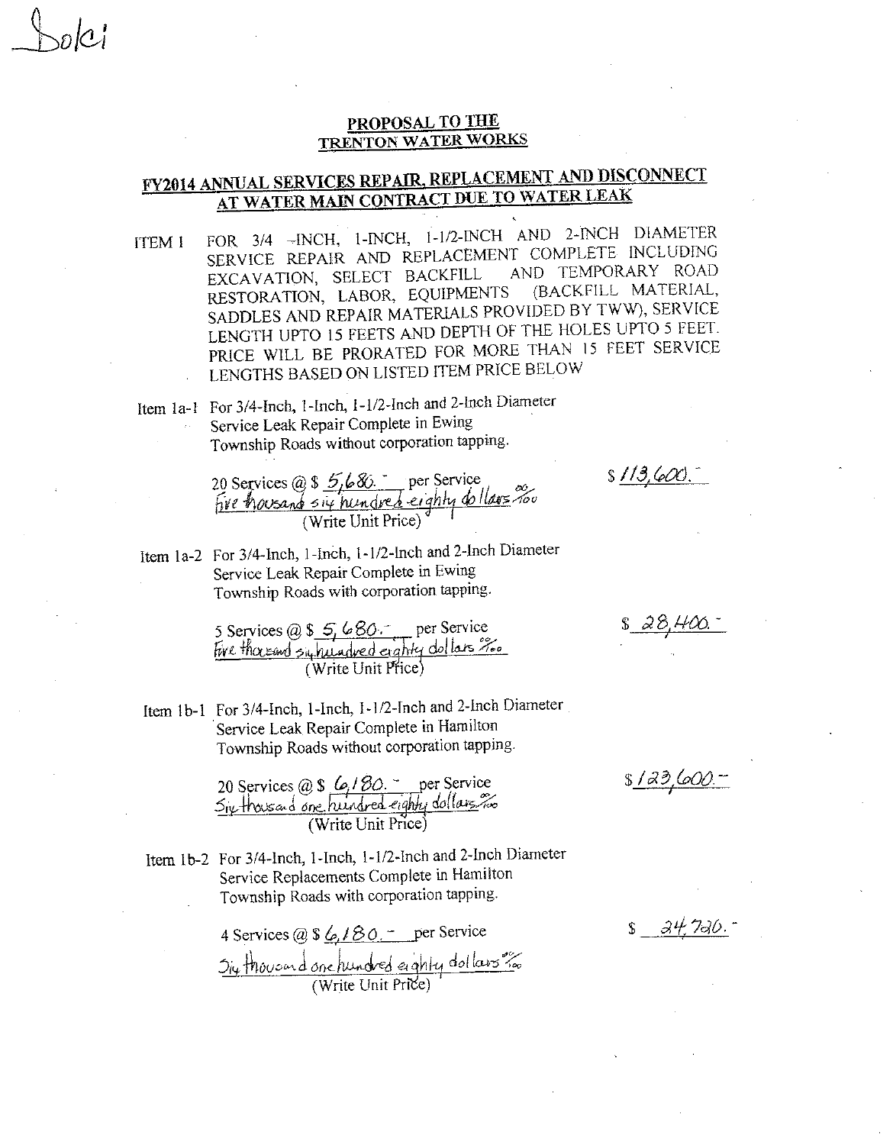## PROPOSAL TO THE **TRENTON WATER WORKS**

# **FY2014 ANNUAL SERVICES REPAIR, REPLACEMENT AND DISCONNECT** AT WATER MAIN CONTRACT DUE TO WATER LEAK

FOR 3/4 -- INCH, 1-INCH, 1-1/2-INCH AND 2-INCH DIAMETER **ITEM 1** SERVICE REPAIR AND REPLACEMENT COMPLETE INCLUDING AND TEMPORARY ROAD EXCAVATION, SELECT BACKFILL (BACKFILL MATERIAL, RESTORATION, LABOR, EQUIPMENTS SADDLES AND REPAIR MATERIALS PROVIDED BY TWW), SERVICE LENGTH UPTO 15 FEETS AND DEPTH OF THE HOLES UPTO 5 FEET. PRICE WILL BE PRORATED FOR MORE THAN 15 FEET SERVICE LENGTHS BASED ON LISTED ITEM PRICE BELOW

Item 1a-1 For 3/4-Inch, 1-Inch, 1-1/2-Inch and 2-Inch Diameter Service Leak Repair Complete in Ewing Township Roads without corporation tapping.

20 Services @ \$ 5,686. per Service<br>Five housand six hundred eighty do llars nove<br>(Write Unit Price)

Item 1a-2 For 3/4-Inch, 1-Inch, 1-1/2-Inch and 2-Inch Diameter Service Leak Repair Complete in Ewing Township Roads with corporation tapping.

5 Services @ \$ 5, 680. per Service<br>Five thoreand supplied eighty dollars ?...

Item 1b-1 For 3/4-Inch, 1-Inch, 1-1/2-Inch and 2-Inch Diameter Service Leak Repair Complete in Hamilton Township Roads without corporation tapping.

20 Services @ \$ 6/80. per Service<br>Six thousand one hundred eighty dollars (Write Unit Price)

Item 1b-2 For 3/4-Inch, 1-Inch, 1-1/2-Inch and 2-Inch Diameter Service Replacements Complete in Hamilton Township Roads with corporation tapping.

> 4 Services @ \$  $6,180 -$  per Service Six thousand one hundred eighty dollars ?

28,400.

 $$113,600.$ 

 $$123,600.$ 

. 24 726. <sup>.</sup>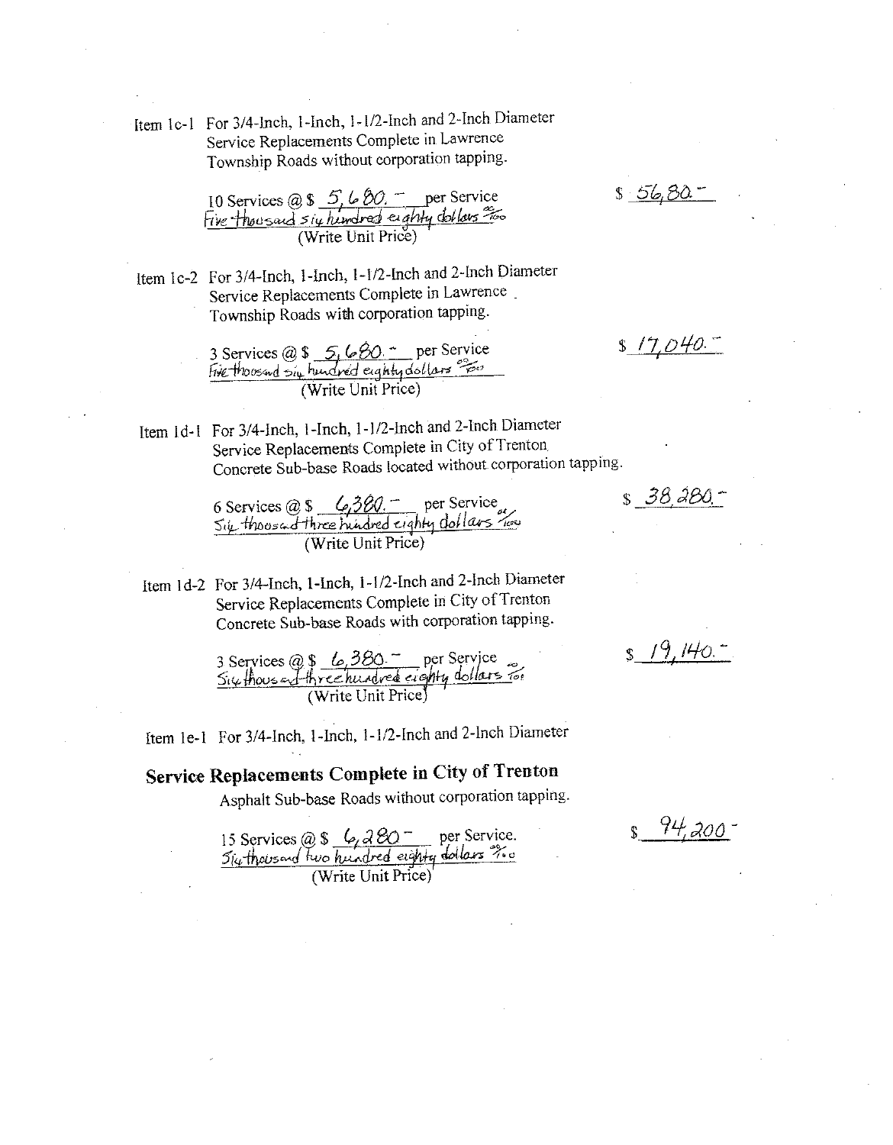Item 1c-1 For 3/4-Inch, 1-Inch, 1-1/2-Inch and 2-Inch Diameter Service Replacements Complete in Lawrence Township Roads without corporation tapping.

10 Services @ \$ 5, 6 80. The Service<br>Five thousand six hundred eighty dollars =

Item 1c-2 For 3/4-Inch, 1-Inch, 1-1/2-Inch and 2-Inch Diameter Service Replacements Complete in Lawrence. Township Roads with corporation tapping.

3 Services @ \$ 5, 6 80. - per Service<br>Five thousand  $5i\mu$  hundred eighty dollars  $\frac{65}{100}$ <br>(Write Unit Price)

Item 1d-1 For 3/4-Inch, 1-Inch, 1-1/2-Inch and 2-Inch Diameter Service Replacements Complete in City of Trenton Concrete Sub-base Roads located without corporation tapping.

6 Services  $@S$   $Q_1360$  - per Service<br>
Sile thousand three hundred eighty dollars how<br>
(Write Unit Price)

Item 1d-2 For 3/4-Inch, 1-Inch, 1-1/2-Inch and 2-Inch Diameter Service Replacements Complete in City of Trenton Concrete Sub-base Roads with corporation tapping.

3 Services @ \$ 6,380. per Service<br>Six thousand three hundred eighty dollars for<br>(Write Unit Price)

Item 1e-1 For 3/4-Inch, 1-Inch, 1-1/2-Inch and 2-Inch Diameter

Service Replacements Complete in City of Trenton

Asphalt Sub-base Roads without corporation tapping.

15 Services @ \$  $\frac{6}{4}$  a BO - per Service.<br>  $\frac{5}{4}$  thousand two hundred eight dollars  $\frac{2}{10}$ 

 $$56,80-$ 

 $$17,040.$ 

 $8$   $19,140.$ 

 $$38,380-$ 

- 94,200 -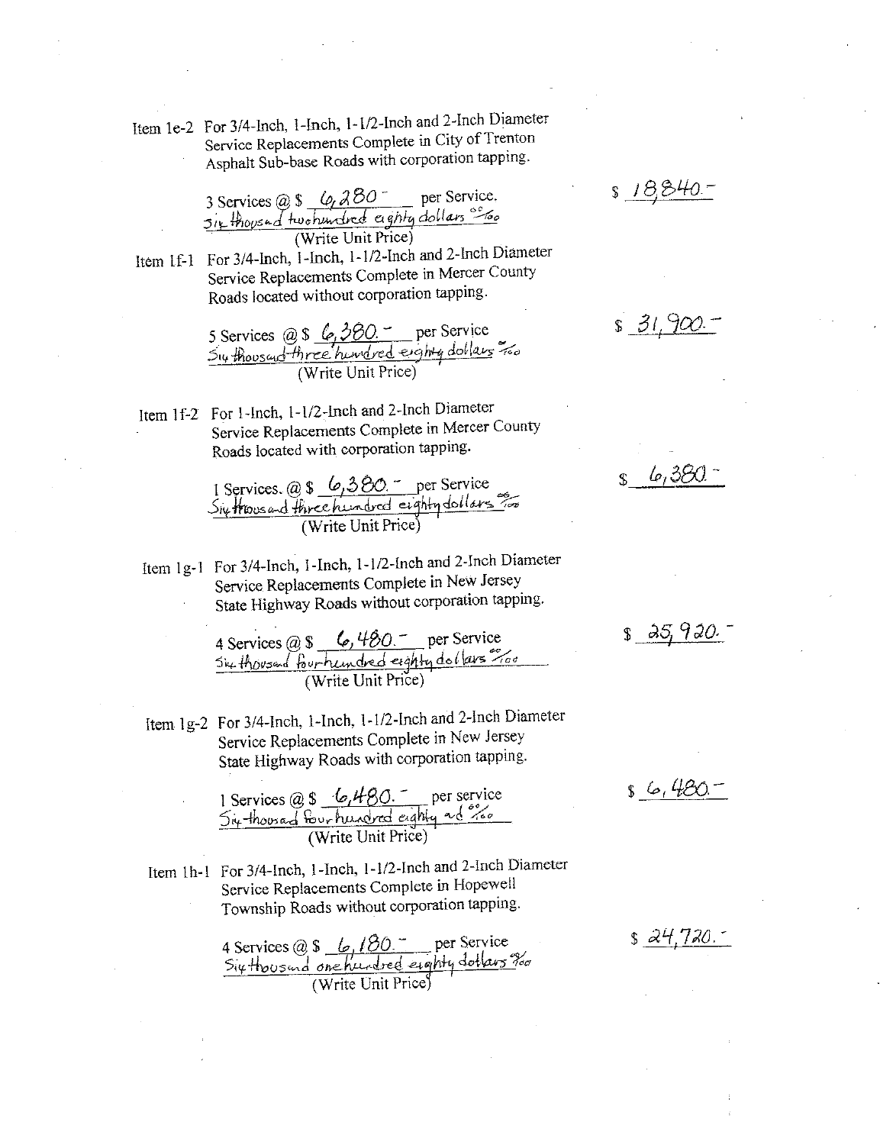Item 1e-2 For 3/4-Inch, 1-Inch, 1-1/2-Inch and 2-Inch Diameter Service Replacements Complete in City of Trenton Asphalt Sub-base Roads with corporation tapping.

 $818,840.7$ 

3 Services @ \$ 6, 280 per Service.<br>5ix thoused two hundred eighty dollars so (Write Unit Price)

Item 1f-1 For 3/4-Inch, 1-Inch, 1-1/2-Inch and 2-Inch Diameter Service Replacements Complete in Mercer County Roads located without corporation tapping.

5 Services @ \$ 6, 380. per Service<br>Su thoused three hundred eighty dollars Too

Item 1f-2 For 1-Inch, 1-1/2-Inch and 2-Inch Diameter Service Replacements Complete in Mercer County Roads located with corporation tapping.

1 Services. @ \$ 6,380. per Service<br>Six Hoosed three hundred eighty dollars for<br>(Write Unit Price)

Item 1g-1 For 3/4-Inch, 1-Inch, 1-1/2-Inch and 2-Inch Diameter Service Replacements Complete in New Jersey State Highway Roads without corporation tapping.

4 Services @ \$ 6, 480 - per Service<br>Six thousand four hundred eighty dollars " Too

Item 1g-2 For 3/4-Inch, 1-Inch, 1-1/2-Inch and 2-Inch Diameter Service Replacements Complete in New Jersey State Highway Roads with corporation tapping.

1 Services @ \$ 6,480. per service<br>5ix-thousad four hundred eighty ad see

Item 1h-1 For 3/4-Inch, 1-Inch, 1-1/2-Inch and 2-Inch Diameter Service Replacements Complete in Hopewell Township Roads without corporation tapping.

4 Services @ \$ 6, 180 per Service<br>Six thoused one hundred eighty dollars for<br>(Write Unit Price)

 $$31,900-$ 

 $$35,920.$ 

 $s6.480 -$ 

s 24.720.-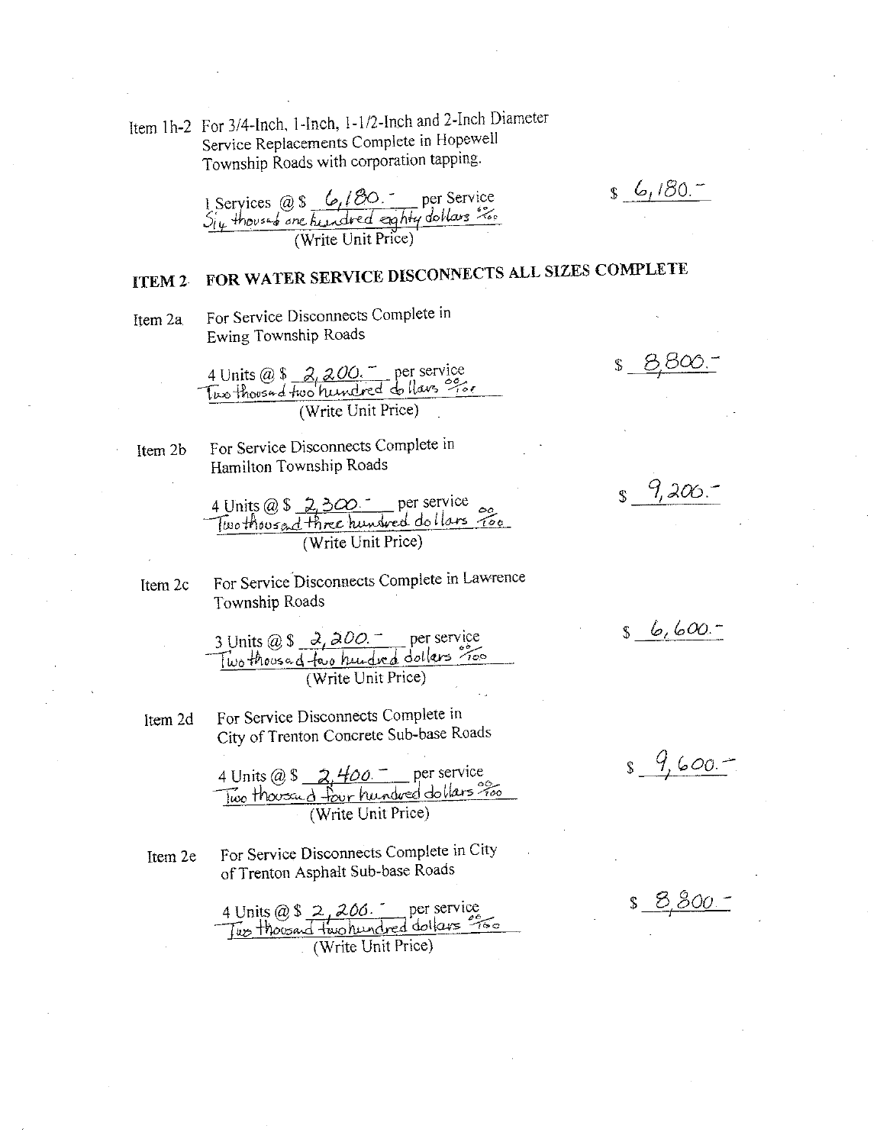Item 1h-2 For 3/4-Inch, 1-Inch, 1-1/2-Inch and 2-Inch Diameter Service Replacements Complete in Hopewell Township Roads with corporation tapping.

 $s_6/80.7$ 

1 Services @ \$  $6/80$ . per Service<br> $S_{i\mu}$  thousand one hundred eighty dollars  $\frac{S_{i\mu}}{S_{i\mu}}$ 

#### FOR WATER SERVICE DISCONNECTS ALL SIZES COMPLETE ITEM<sub>2</sub>

For Service Disconnects Complete in Item 2a

Ewing Township Roads

4 Units @ \$ 2, 200. - per service<br>Two thousand two hundred do llaves %.

Item 2b

For Service Disconnects Complete in Hamilton Township Roads

4 Units @ \$ 2,300 per service<br>Two thousad three hundred dollars 200<br>(Write Unit Price)

For Service Disconnects Complete in Lawrence Item 2c Township Roads

- 3 Units @ \$ 2, 200 . per service<br>Two thousad favo hundred dollars ?...
- For Service Disconnects Complete in Item 2d City of Trenton Concrete Sub-base Roads

4 Units @ \$  $\frac{2,400-}{100}$  per service<br> $\frac{1}{100}$  thousa  $\frac{1}{2}$  thousand the per per service (Write Unit Price)

For Service Disconnects Complete in City Item 2e of Trenton Asphalt Sub-base Roads

4 Units @ \$ 2, 200. per service<br>Two thoroad two hundred dollars =  $\sqrt{\text{Write Unit Price}}$ 

<u>s 8,800.</u>

 $S_{1}$  9,206.

 $s_{6,600}$ 

 $\frac{9}{5}$   $\frac{9}{100}$ 

 $$8,800.7$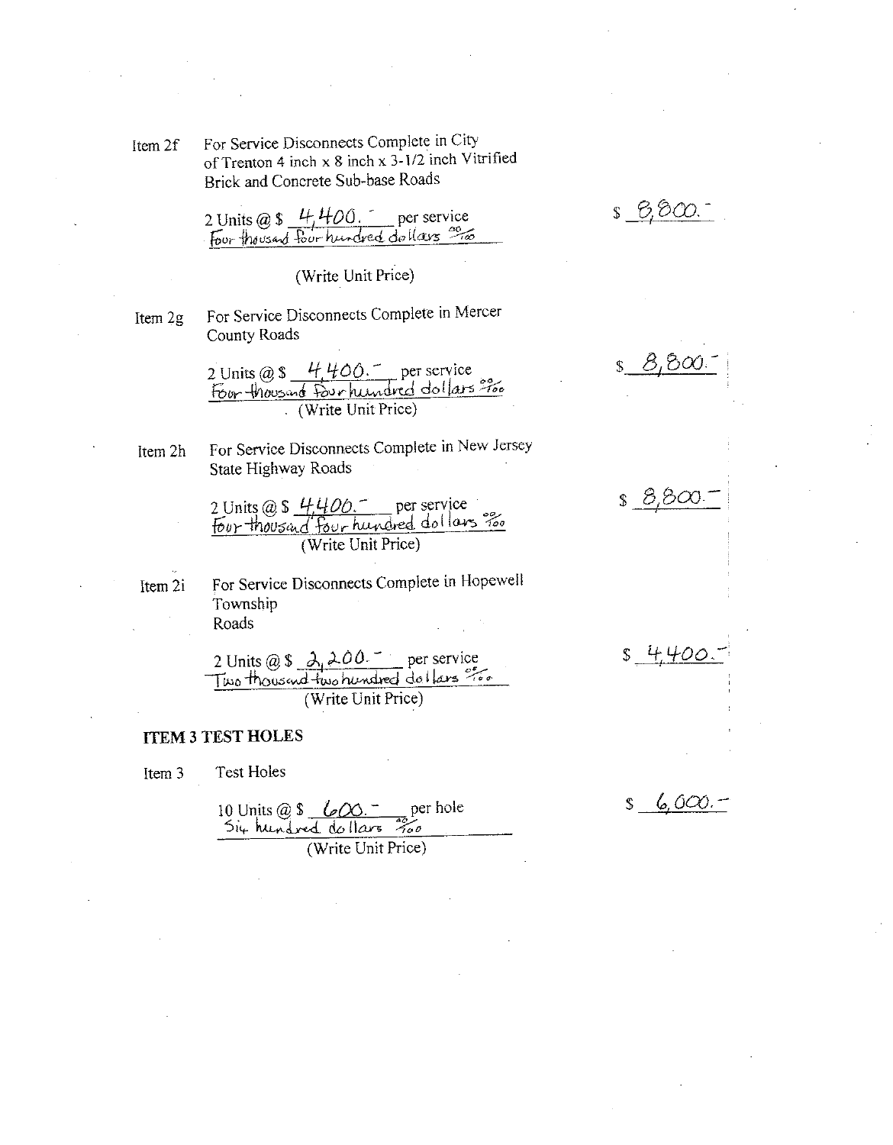For Service Disconnects Complete in City Item 2f of Trenton 4 inch x 8 inch x 3-1/2 inch Vitrified Brick and Concrete Sub-base Roads

 $$6,800.$ 

2 Units @ \$ 4,400. per service<br>Four thousand four hundred dollars <sup>00</sup>10

(Write Unit Price)

For Service Disconnects Complete in Mercer Item 2g County Roads

2 Units @ \$ 4,400. per service<br>Four-thousand Fourhundred dollars ???

Item 2h

For Service Disconnects Complete in New Jersey State Highway Roads

2 Units @ \$ 4400. per service (Write Unit Price)

For Service Disconnects Complete in Hopewell Item 2i Township Roads

2 Units @ \$ 2,200. per service<br>Two thousand two hundred dollars ??

## **ITEM 3 TEST HOLES**

**Test Holes** Item 3

10 Units @ \$ 600 - per hole<br>5i4 hundred do llars 700<br>(Write Unit Price)

 $$8,800$ 

 $6,000, \mathbb{S}$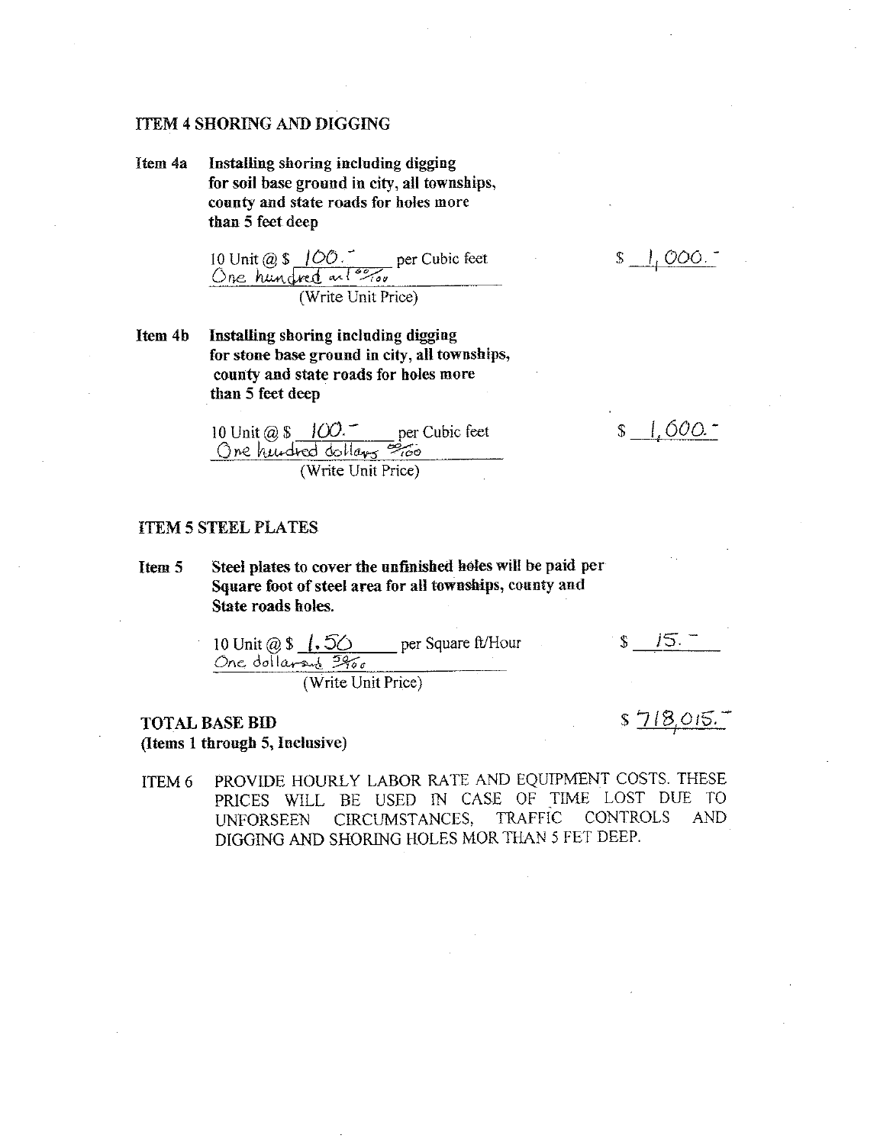### **ITEM 4 SHORING AND DIGGING**

Item 4a Installing shoring including digging for soil base ground in city, all townships, county and state roads for holes more than 5 feet deep

10 Unit @ \$ 100. per Cubic feet<br>One hundred and \$9,00 (Write Unit Price)

Installing shoring including digging Item 4b for stone base ground in city, all townships, county and state roads for holes more than 5 feet deep

 $\frac{1}{2}$  1.600.

 $\mathbb{S}$ 

10 Unit @ \$ 100. per Cubic feet<br>One hundred dollars = 60 (Write Unit Price)

### **ITEM 5 STEEL PLATES**

- Steel plates to cover the unfinished holes will be paid per Item 5 Square foot of steel area for all townships, county and State roads holes.
	- $$15$ 10 Unit  $@S$  (. 50 per Square ft/Hour One dollarsed 3900

(Write Unit Price)

## **TOTAL BASE BID** (Items 1 through 5, Inclusive)

 $$718,015.$ 

PROVIDE HOURLY LABOR RATE AND EQUIPMENT COSTS. THESE ITEM 6 PRICES WILL BE USED IN CASE OF TIME LOST DUE TO **TRAFFIC** CONTROLS **AND** CIRCUMSTANCES, **UNFORSEEN** DIGGING AND SHORING HOLES MOR THAN 5 FET DEEP.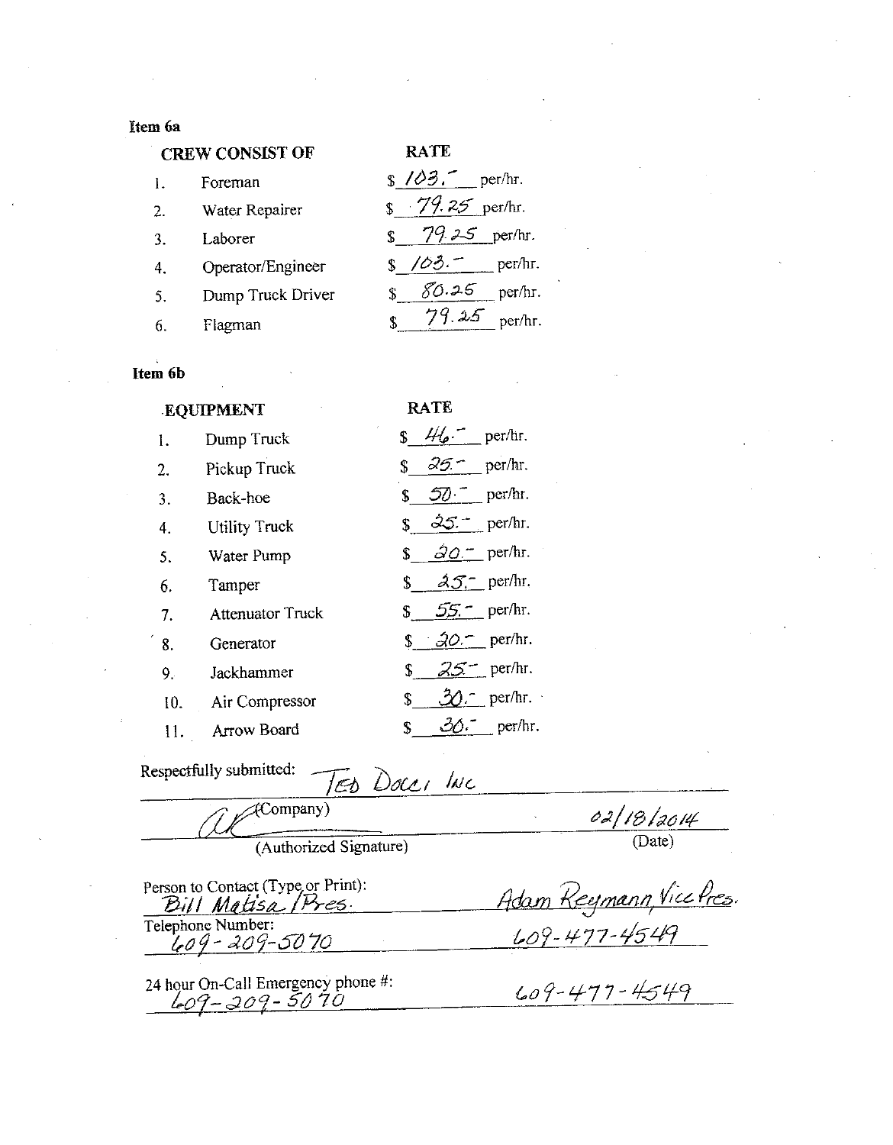## Item 6a

## **CREW CONSIST OF**

| <b>CREW CONSIST OF</b> |                   | <b>RATE</b>                    |
|------------------------|-------------------|--------------------------------|
| 1.                     | Foreman           | $\frac{\sqrt{3}}{2}$ , per/hr. |
| 2.                     | Water Repairer    | $\frac{1}{2}$ 79.25 per/hr.    |
| 3.                     | Laborer           | 79.25 per/hr.                  |
| 4.                     | Operator/Engineer | \$103.7<br>per/hr.             |
| 5.                     | Dump Truck Driver | $80.25$ per/hr.                |
| 6.                     | Flagman           | per/hr.<br>J. 25<br>\$         |

# Item 6b

| <b>EQUIPMENT</b> |                         | RATE.                                    |
|------------------|-------------------------|------------------------------------------|
| 1.               | Dump Truck              | $\frac{1}{2}$ 46 per/hr.                 |
| 2.               | Pickup Truck            | $\sqrt{35}$ per/hr.                      |
| 3.               | Back-hoe                | $$57$ per/hr.                            |
| 4.               | <b>Utility Truck</b>    | $$35 - per/hr.$                          |
| 5.               | Water Pump              | $\sqrt{2}Q = \text{per/hr}$ .            |
| 6.               | Tamper                  | $\sqrt{s}$ $\lambda \mathcal{J}$ per/hr. |
| 7.               | <b>Attenuator Truck</b> | \$ $55.$ per/hr.                         |
| 8.               | Generator               | $\sqrt{20}$ per/hr.                      |
| 9.               | Jackhammer              | \$ $25 -$ per/hr.                        |
|                  | 10. Air Compressor      | $30 -$ per/hr.<br>\$                     |
| Η.               | <b>Arrow Board</b>      | $30 - \text{per/hr}$ .<br>$\mathbb{S}$   |

| Respectfully submitted:<br>TED DOCCI INC                 |                        |  |  |
|----------------------------------------------------------|------------------------|--|--|
| (Company)                                                | 02/18/2014             |  |  |
| (Authorized Signature)                                   | (Date)                 |  |  |
| Person to Contact (Type or Print):<br>Bill Matisa (Pres. | Adam Reymann Vice Pres |  |  |
| Telephone Number:<br>1-09 - 209 - 50'70                  | 609-477-4549           |  |  |

24 hour On-Call Emergency phone #:<br> $609 - 309 - 5070$ 

 $609 - 477 - 4549$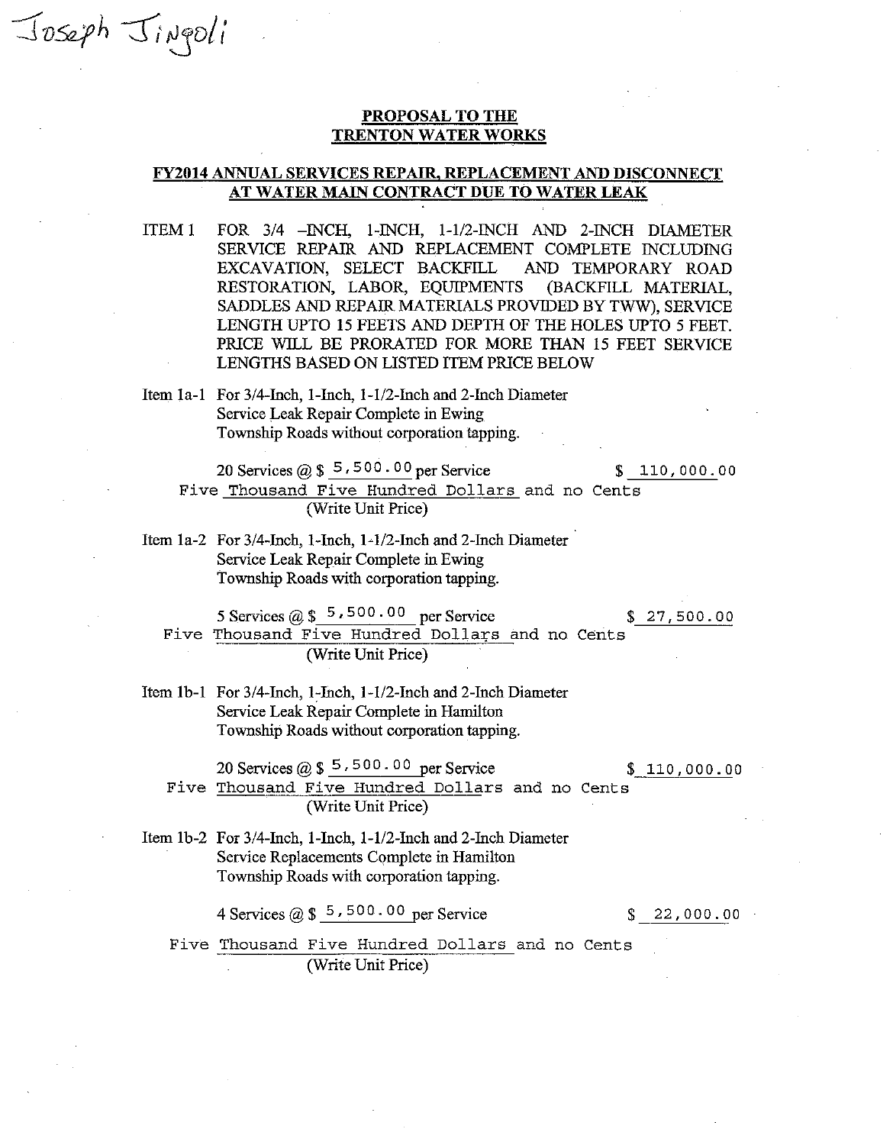### PROPOSAL TO THE **TRENTON WATER WORKS**

## **FY2014 ANNUAL SERVICES REPAIR, REPLACEMENT AND DISCONNECT** AT WATER MAIN CONTRACT DUE TO WATER LEAK

- FOR 3/4 INCH, 1-INCH, 1-1/2-INCH AND 2-INCH DIAMETER ITEM<sub>1</sub> SERVICE REPAIR AND REPLACEMENT COMPLETE INCLUDING EXCAVATION, SELECT BACKFILL AND TEMPORARY ROAD RESTORATION, LABOR, EQUIPMENTS (BACKFILL MATERIAL, SADDLES AND REPAIR MATERIALS PROVIDED BY TWW), SERVICE LENGTH UPTO 15 FEETS AND DEPTH OF THE HOLES UPTO 5 FEET. PRICE WILL BE PRORATED FOR MORE THAN 15 FEET SERVICE LENGTHS BASED ON LISTED ITEM PRICE BELOW
- Item 1a-1 For 3/4-Inch, 1-Inch, 1-1/2-Inch and 2-Inch Diameter Service Leak Repair Complete in Ewing Township Roads without corporation tapping.

Joseph Jingoli

20 Services @  $$5,500.00$  per Service  $$110,000.00$ Five Thousand Five Hundred Dollars and no Cents (Write Unit Price)

Item 1a-2 For 3/4-Inch, 1-Inch, 1-1/2-Inch and 2-Inch Diameter Service Leak Repair Complete in Ewing Township Roads with corporation tapping.

5 Services @  $\frac{1}{2}$  5,500.00 per Service  $$27,500.00$ Five Thousand Five Hundred Dollars and no Cents (Write Unit Price)

Item 1b-1 For 3/4-Inch, 1-Inch, 1-1/2-Inch and 2-Inch Diameter Service Leak Repair Complete in Hamilton Township Roads without corporation tapping.

20 Services  $(2)$  \$ 5,500.00 per Service

 $$110,000.00$ 

Five Thousand Five Hundred Dollars and no Cents (Write Unit Price)

Item 1b-2 For 3/4-Inch, 1-Inch, 1-1/2-Inch and 2-Inch Diameter Service Replacements Complete in Hamilton Township Roads with corporation tapping.

4 Services ( $\hat{\alpha}$ ) \$ 5,500.00 per Service

 $$22,000.00$ 

Five Thousand Five Hundred Dollars and no Cents (Write Unit Price)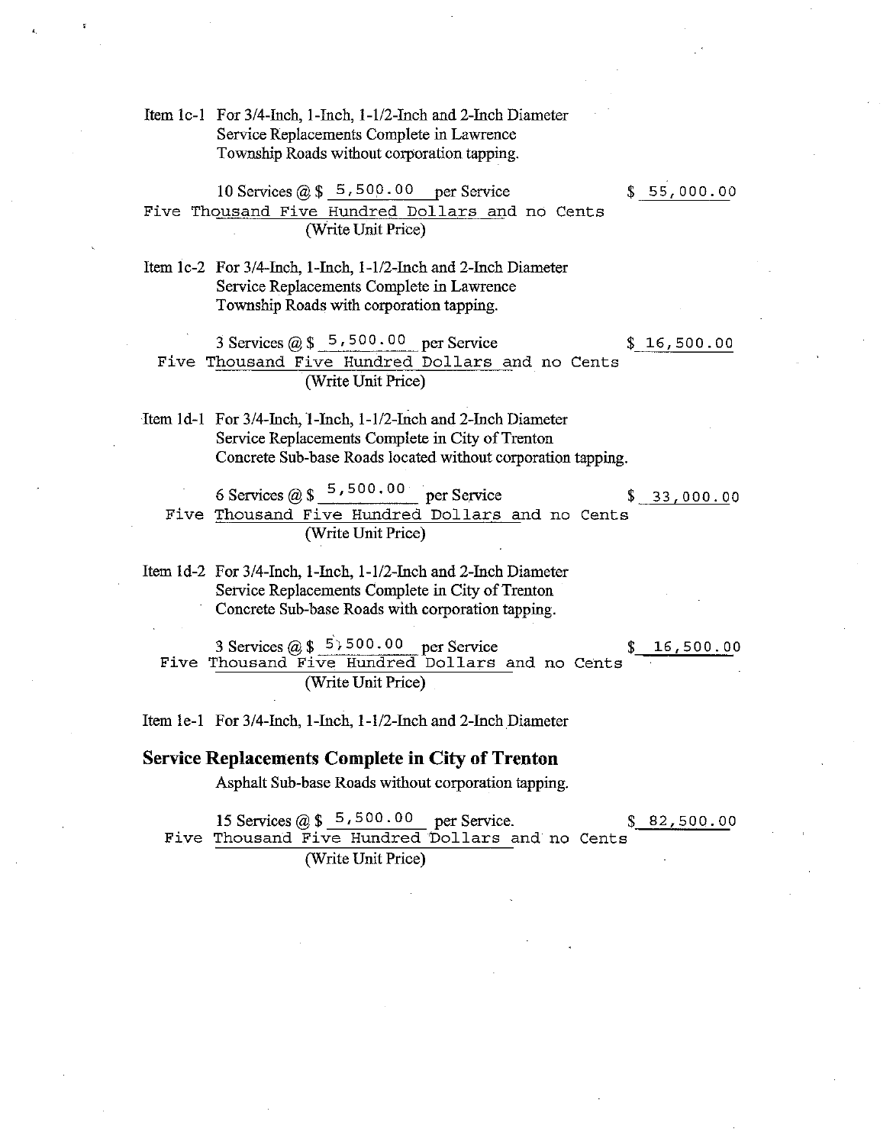Item 1c-1 For 3/4-Inch, 1-Inch, 1-1/2-Inch and 2-Inch Diameter Service Replacements Complete in Lawrence Township Roads without corporation tapping.

10 Services  $@ $5,500.00$  per Service Five Thousand Five Hundred Dollars and no Cents (Write Unit Price)

 $$55,000.00$ 

Item 1c-2 For 3/4-Inch, 1-Inch, 1-1/2-Inch and 2-Inch Diameter Service Replacements Complete in Lawrence Township Roads with corporation tapping.

3 Services  $(a)$  \$ 5,500.00 per Service  $$16,500.00$ Five Thousand Five Hundred Dollars and no Cents (Write Unit Price)

Item 1d-1 For 3/4-Inch, 1-Inch, 1-1/2-Inch and 2-Inch Diameter Service Replacements Complete in City of Trenton Concrete Sub-base Roads located without corporation tapping.

6 Services @  $\frac{5,500.00}{2}$  per Service  $$33,000.00$ Five Thousand Five Hundred Dollars and no Cents (Write Unit Price)

Item 1d-2 For 3/4-Inch, 1-Inch, 1-1/2-Inch and 2-Inch Diameter Service Replacements Complete in City of Trenton Concrete Sub-base Roads with corporation tapping.

3 Services  $(a)$  \$ 5,500.00 per Service 16,500.00 Five Thousand Five Hundred Dollars and no Cents (Write Unit Price)

Item 1e-1 For 3/4-Inch, 1-Inch, 1-1/2-Inch and 2-Inch Diameter

#### **Service Replacements Complete in City of Trenton**

Asphalt Sub-base Roads without corporation tapping.

15 Services  $(a)$  \$ 5,500.00 per Service.  $$82,500.00$ Five Thousand Five Hundred Dollars and no Cents (Write Unit Price)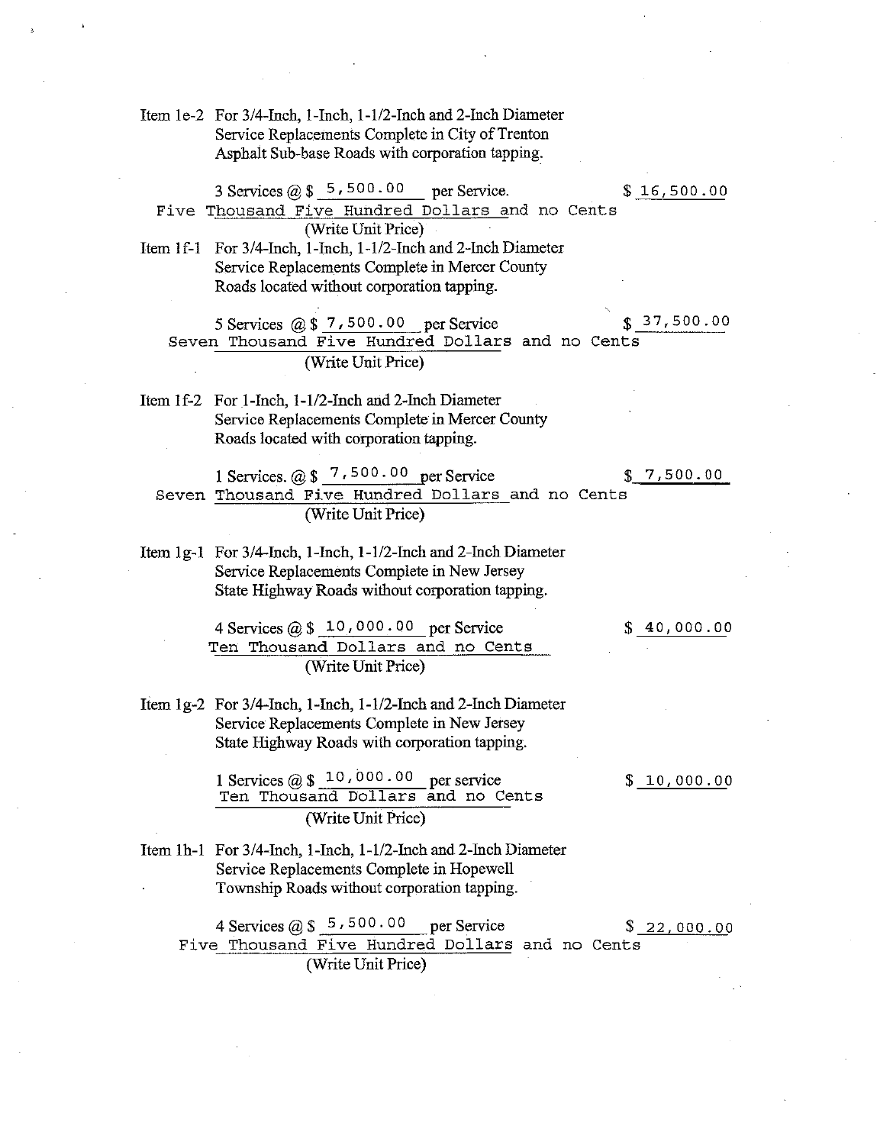Item 1e-2 For 3/4-Inch, 1-Inch, 1-1/2-Inch and 2-Inch Diameter Service Replacements Complete in City of Trenton Asphalt Sub-base Roads with corporation tapping.

3 Services  $(a)$  \$ 5,500.00 per Service.  $$16,500.00$ Five Thousand Five Hundred Dollars and no Cents (Write Unit Price)

Item 1f-1 For 3/4-Inch, 1-Inch, 1-1/2-Inch and 2-Inch Diameter Service Replacements Complete in Mercer County Roads located without corporation tapping.

 $$37,500.00$ 5 Services  $(2)$ , \$ 7, 500.00 per Service Seven Thousand Five Hundred Dollars and no Cents (Write Unit Price)

Item 1f-2 For 1-Inch, 1-1/2-Inch and 2-Inch Diameter Service Replacements Complete in Mercer County Roads located with corporation tapping.

1 Services.  $@ $ 7,500.00 \text{ per Service}$  $$7,500.00$ Seven Thousand Five Hundred Dollars and no Cents (Write Unit Price)

Item 1g-1 For 3/4-Inch, 1-Inch, 1-1/2-Inch and 2-Inch Diameter Service Replacements Complete in New Jersey State Highway Roads without corporation tapping.

 $$40,000.00$ 

4 Services  $(a)$  \$ 10,000.00 per Service Ten Thousand Dollars and no Cents (Write Unit Price)

Item 1g-2 For 3/4-Inch, 1-Inch, 1-1/2-Inch and 2-Inch Diameter Service Replacements Complete in New Jersey State Highway Roads with corporation tapping.

 $$10,000.00$ 

1 Services @  $$10,000.00$  per service Ten Thousand Dollars and no Cents (Write Unit Price)

Item 1h-1 For 3/4-Inch, 1-Inch, 1-1/2-Inch and 2-Inch Diameter Service Replacements Complete in Hopewell Township Roads without corporation tapping.

4 Services  $(2)$  \$ 5,500.00 per Service  $$22.000.00$ Five Thousand Five Hundred Dollars and no Cents (Write Unit Price)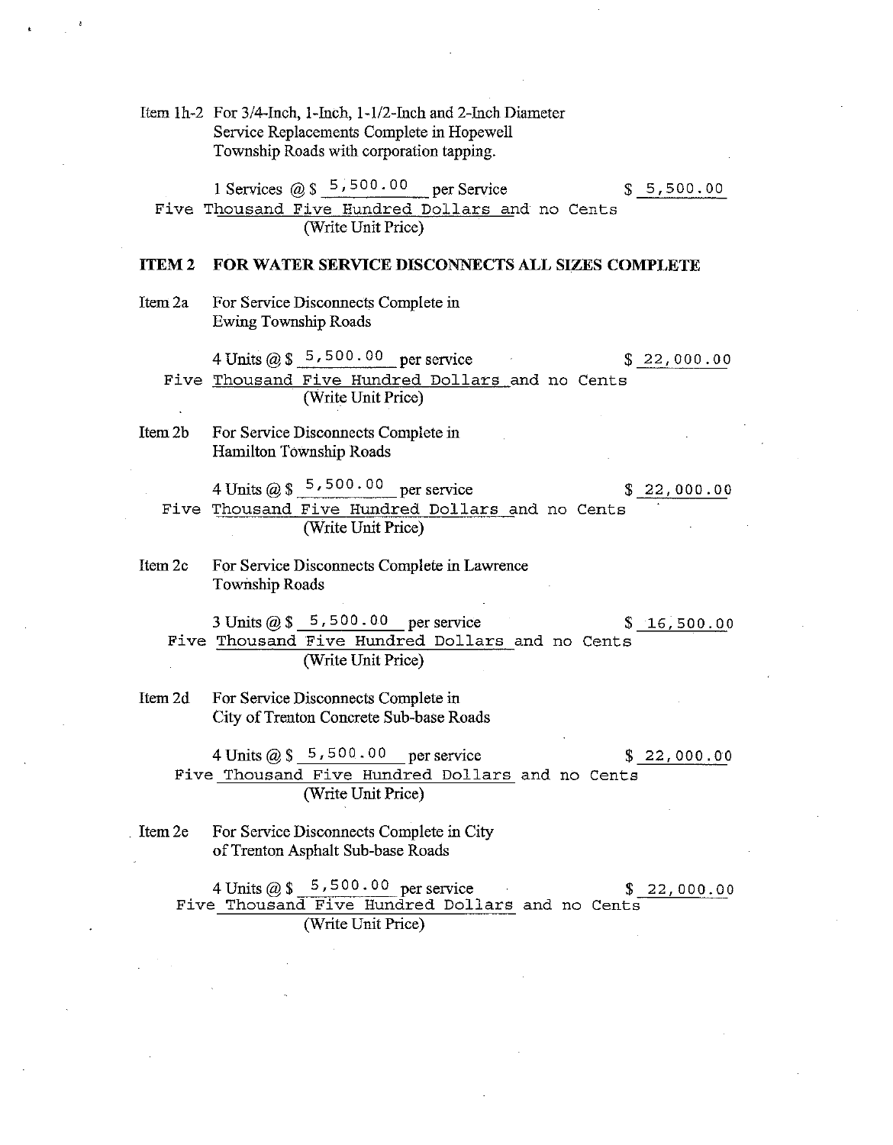Item 1h-2 For 3/4-Inch, 1-Inch, 1-1/2-Inch and 2-Inch Diameter Service Replacements Complete in Hopewell Township Roads with corporation tapping.

1 Services @  $\frac{1}{2}$  5,500.00 per Service  $$5,500.00$ Five Thousand Five Hundred Dollars and no Cents (Write Unit Price)

#### **ITEM2** FOR WATER SERVICE DISCONNECTS ALL SIZES COMPLETE

Item 2a For Service Disconnects Complete in **Ewing Township Roads** 

4 Units @  $\frac{1}{2}$  5,500.00 per service  $$22,000.00$ Five Thousand Five Hundred Dollars and no Cents (Write Unit Price)

Item 2b For Service Disconnects Complete in Hamilton Township Roads

4 Units @  $\frac{1}{8}$  5,500.00 per service  $$22,000.00$ Five Thousand Five Hundred Dollars and no Cents (Write Unit Price)

Item 2c For Service Disconnects Complete in Lawrence **Township Roads** 

3 Units  $\omega$  \$ 5,500.00 per service  $$16,500.00$ Five Thousand Five Hundred Dollars and no Cents (Write Unit Price)

Item 2d For Service Disconnects Complete in City of Trenton Concrete Sub-base Roads

4 Units  $@$55500.00 per service$  $$22,000.00$ Five Thousand Five Hundred Dollars and no Cents (Write Unit Price)

For Service Disconnects Complete in City Item 2e of Trenton Asphalt Sub-base Roads

> 4 Units  $\omega$  \$ 5,500.00 per service  $$22,000.00$ Five Thousand Five Hundred Dollars and no Cents (Write Unit Price)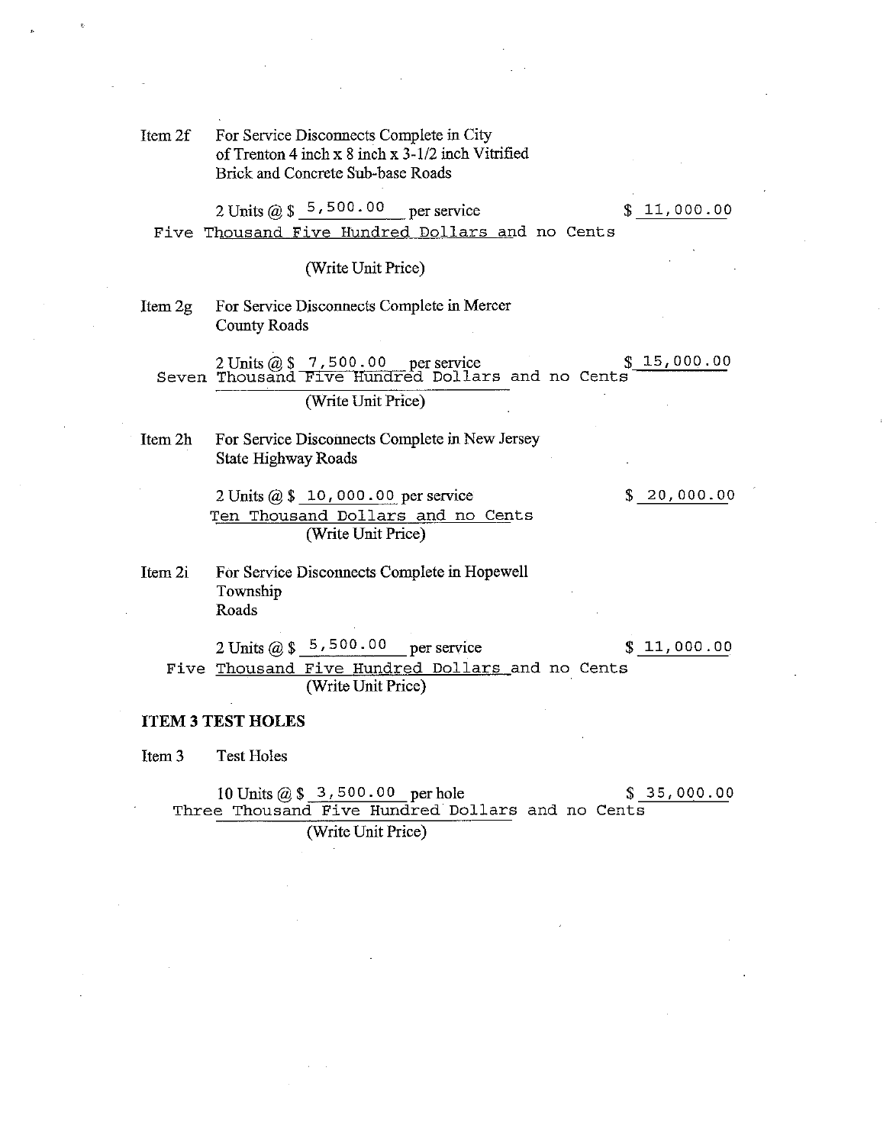For Service Disconnects Complete in City Item 2f of Trenton 4 inch x 8 inch x 3-1/2 inch Vitrified Brick and Concrete Sub-base Roads

2 Units  $(0, 1, 5, 500, 00)$  $$11,000.00$ per service Five Thousand Five Hundred Dollars and no Cents

(Write Unit Price)

Item 2g For Service Disconnects Complete in Mercer **County Roads** 

2 Units  $@$  \$  $@$  7,500.00 per service  $@$  Seven Thousand Five Hundred Dollars and no Cents  $$15,000.00$ (Write Unit Price)

Item 2h For Service Disconnects Complete in New Jersey **State Highway Roads** 

> 2 Units @ \$ 10,000.00 per service Ten Thousand Dollars and no Cents (Write Unit Price)

 $$20,000.00$ 

Item 2i For Service Disconnects Complete in Hopewell Township Roads

2 Units  $@$5,500.00$ per service  $$11,000.00$ Five Thousand Five Hundred Dollars and no Cents (Write Unit Price)

#### **ITEM 3 TEST HOLES**

Item 3 **Test Holes** 

> 10 Units  $@$3,500.00 per hole$  $$35,000.00$ Three Thousand Five Hundred Dollars and no Cents (Write Unit Price)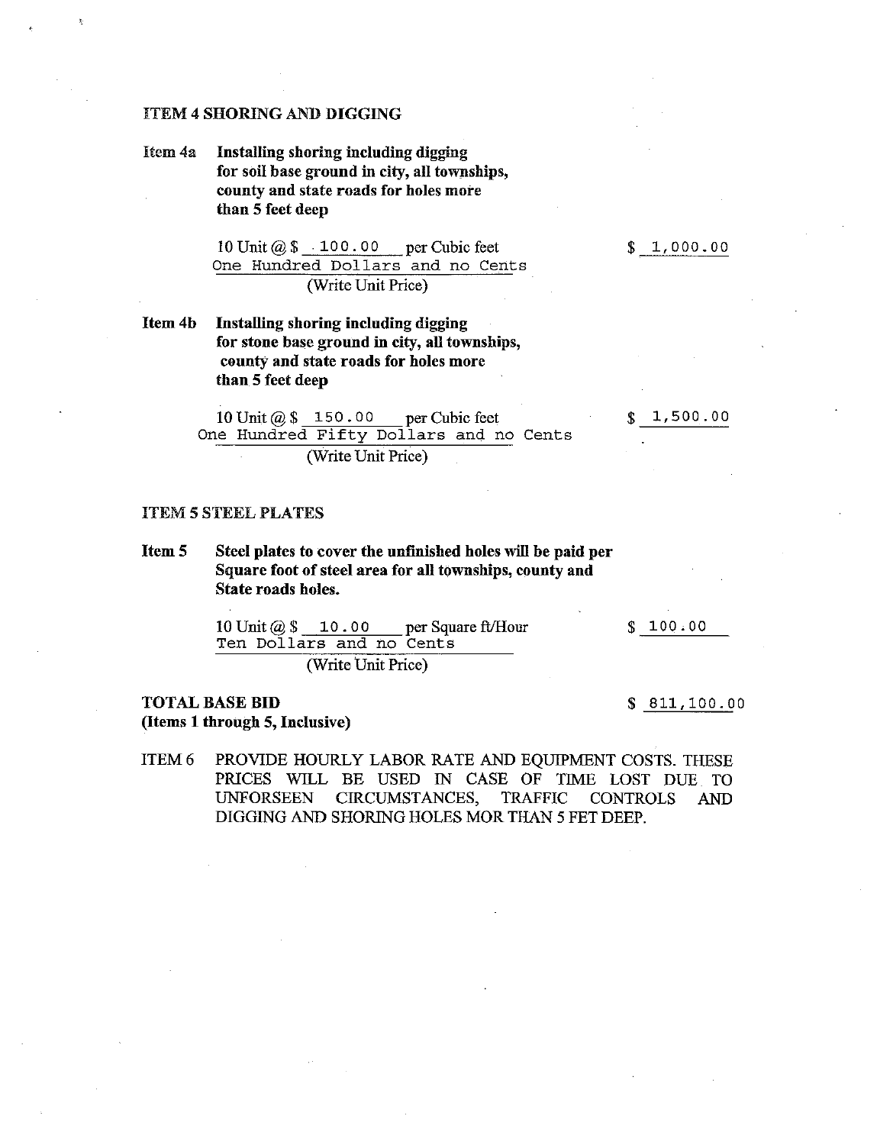## **ITEM 4 SHORING AND DIGGING**

Installing shoring including digging Item 4a for soil base ground in city, all townships, county and state roads for holes more than 5 feet deep

 $$1,000.00$ 

1,500.00

10 Unit  $\omega$  \$ 100.00 per Cubic feet One Hundred Dollars and no Cents (Write Unit Price)

Item 4b Installing shoring including digging for stone base ground in city, all townships, county and state roads for holes more than 5 feet deep

> 10 Unit  $(a)$  \$ 150.00 per Cubic feet One Hundred Fifty Dollars and no Cents (Write Unit Price)

#### **ITEM 5 STEEL PLATES**

Item 5 Steel plates to cover the unfinished holes will be paid per Square foot of steel area for all townships, county and State roads holes.

 $$100.00$ 

per Square ft/Hour 10 Unit  $@$$  10.00 Ten Dollars and no Cents

(Write Unit Price)

## **TOTAL BASE BID** (Items 1 through 5, Inclusive)

 $$811,100.00$ 

PROVIDE HOURLY LABOR RATE AND EQUIPMENT COSTS. THESE ITEM<sub>6</sub> PRICES WILL BE USED IN CASE OF TIME LOST DUE TO CIRCUMSTANCES. **UNFORSEEN TRAFFIC CONTROLS AND** DIGGING AND SHORING HOLES MOR THAN 5 FET DEEP.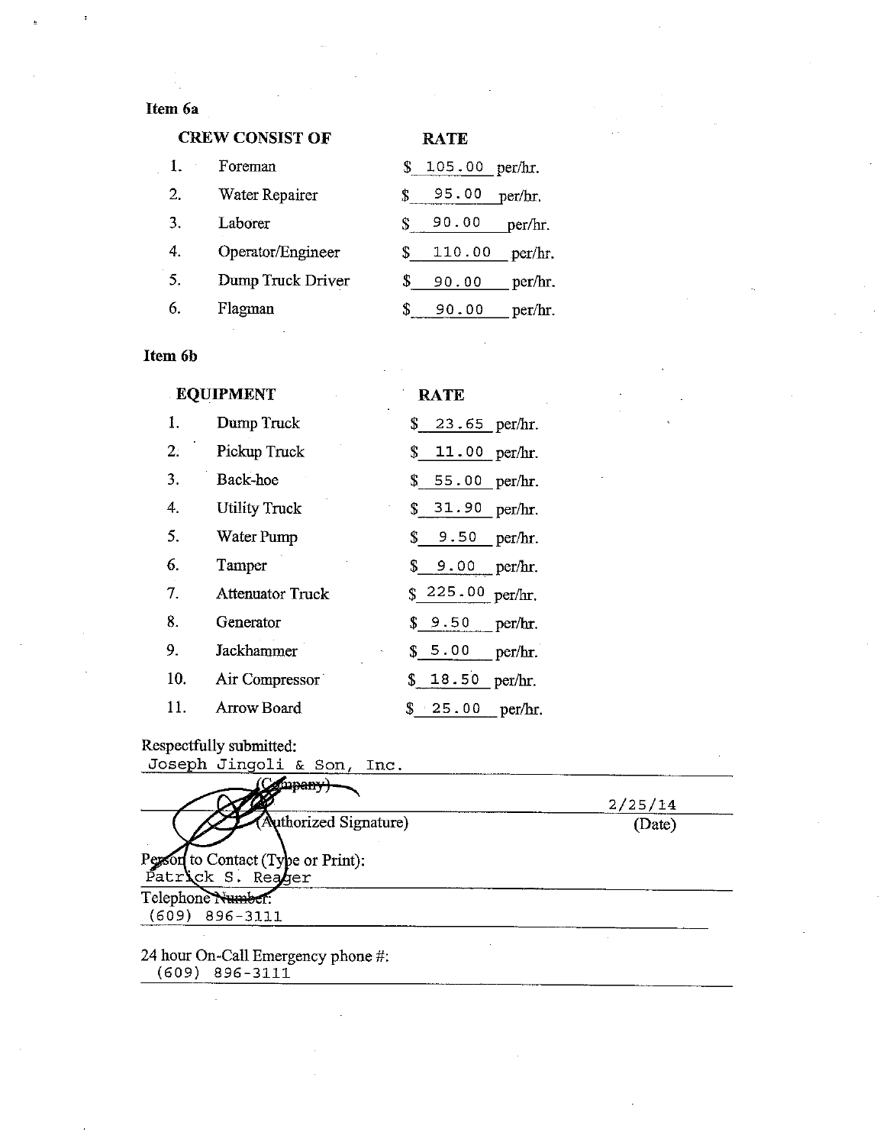## Item 6a

| <b>CREW CONSIST OF</b> |                   |    | <b>RATE</b> |         |
|------------------------|-------------------|----|-------------|---------|
| $\mathbf{I}$ .         | Foreman           | S. | 105.00      | per/hr. |
| 2.                     | Water Repairer    |    | 95.00       | per/hr. |
| 3.                     | Laborer           | S. | 90.00       | per/hr. |
| 4.                     | Operator/Engineer | S. | 110.00      | per/hr. |
| 5.                     | Dump Truck Driver | \$ | 90.00       | per/hr. |
| 6.                     | Flagman           |    | 90.00       | per/hr. |

## Item 6b

|     | <b>EQUIPMENT</b>        | <b>RATE</b>       |
|-----|-------------------------|-------------------|
| 1.  | Dump Truck              | \$ 23.65 per/hr.  |
| 2:  | Pickup Truck            | \$ 11.00 per/hr.  |
| 3.  | Back-hoe                | \$55.00 per/hr.   |
| 4.  | <b>Utility Truck</b>    | \$31.90 per/hr.   |
| 5.  | Water Pump              | \$9.50 per/hr.    |
| 6.  | Tamper                  | \$ 9.00 per/hr.   |
| 7.  | <b>Attenuator Truck</b> | \$225.00 per/hr.  |
| 8.  | Generator               | $$9.50$ per/hr.   |
| 9.  | Jackhammer              | $$5.00$ per/hr.   |
| 10. | Air Compressor          | \$ 18.50 per/hr.  |
| 11. | Arrow Board             | $$ 25.00$ per/hr. |

τ.

Respectfully submitted:<br>Joseph Jingoli & Son

| mpan-                                                                             | 2/25/14 |
|-----------------------------------------------------------------------------------|---------|
| (Authorized Signature)<br>Person to Contact (Type or Print):<br>Patrick S. Reager | (Date)  |
| Telephone Number:                                                                 |         |

 $(609) 896 - 3111$ 

 $\overline{a}$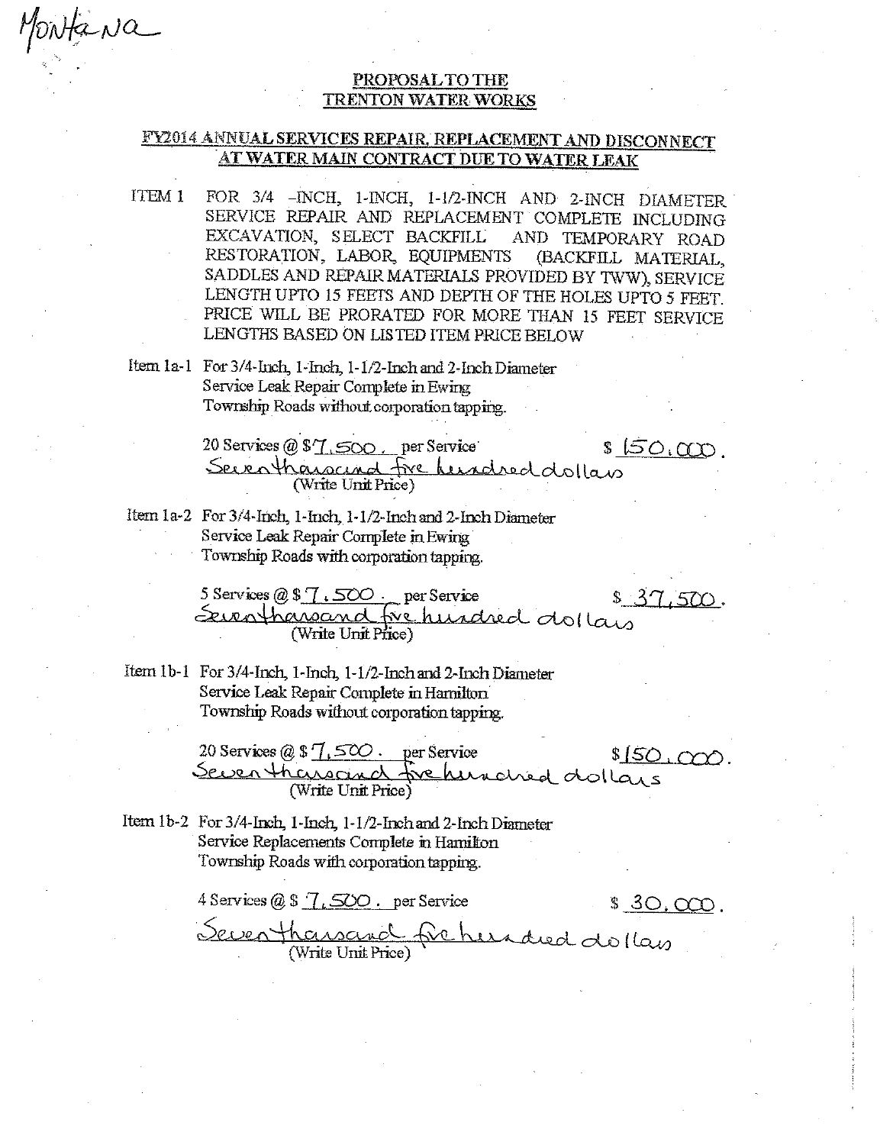## PROPOSAL TO THE **TRENTON WATER WORKS**

## FY2014 ANNUAL SERVICES REPAIR, REPLACEMENT AND DISCONNECT AT WATER MAIN CONTRACT DUE TO WATER LEAK

- FOR 3/4 -INCH, 1-INCH, 1-1/2-INCH AND 2-INCH DIAMETER ITEM 1 SERVICE REPAIR AND REPLACEMENT COMPLETE INCLUDING EXCAVATION, SELECT BACKFILL AND TEMPORARY ROAD RESTORATION, LABOR, EQUIPMENTS (BACKFILL MATERIAL, SADDLES AND REPAIR MATERIALS PROVIDED BY TWW), SERVICE LENGTH UPTO 15 FEETS AND DEPTH OF THE HOLES UPTO 5 FEET. PRICE WILL BE PRORATED FOR MORE THAN 15 FEET SERVICE LENGTHS BASED ON LISTED ITEM PRICE BELOW
- Item 1a-1 For 3/4-Inch, 1-Inch, 1-1/2-Inch and 2-Inch Diameter Service Leak Repair Complete in Ewing Township Roads without corporation tapping.

MONta Na

20 Services @ \$7,500, per Service  $$50,000$ Seventhanacinal five hundred dollars

Item 1a-2 For 3/4-Inch, 1-Inch, 1-1/2-Inch and 2-Inch Diameter Service Leak Repair Complete in Ewing Township Roads with corporation tapping.

> 5 Services @ \$7.500. per Service  $$37.500.$ Seventhanand fre hurdred dollars (Write Unit Price)

Item 1b-1 For 3/4-Inch, 1-Inch, 1-1/2-Inch and 2-Inch Diameter Service Leak Repair Complete in Hamilton Township Roads without corporation tapping.

> 20 Services  $@S7$ ,  $500$ . per Service  $$150,000.$ Seven thensand frehendred dollars (Write Unit Price)

Item 1b-2 For 3/4-Inch, 1-Inch, 1-1/2-Inch and 2-Inch Diameter Service Replacements Complete in Hamilton Township Roads with corporation tapping.

4 Services  $@$$   $\sqrt{$ ,  $500$ . per Service \$ 30.000. <u>Seven thansand</u> fre hundred dollars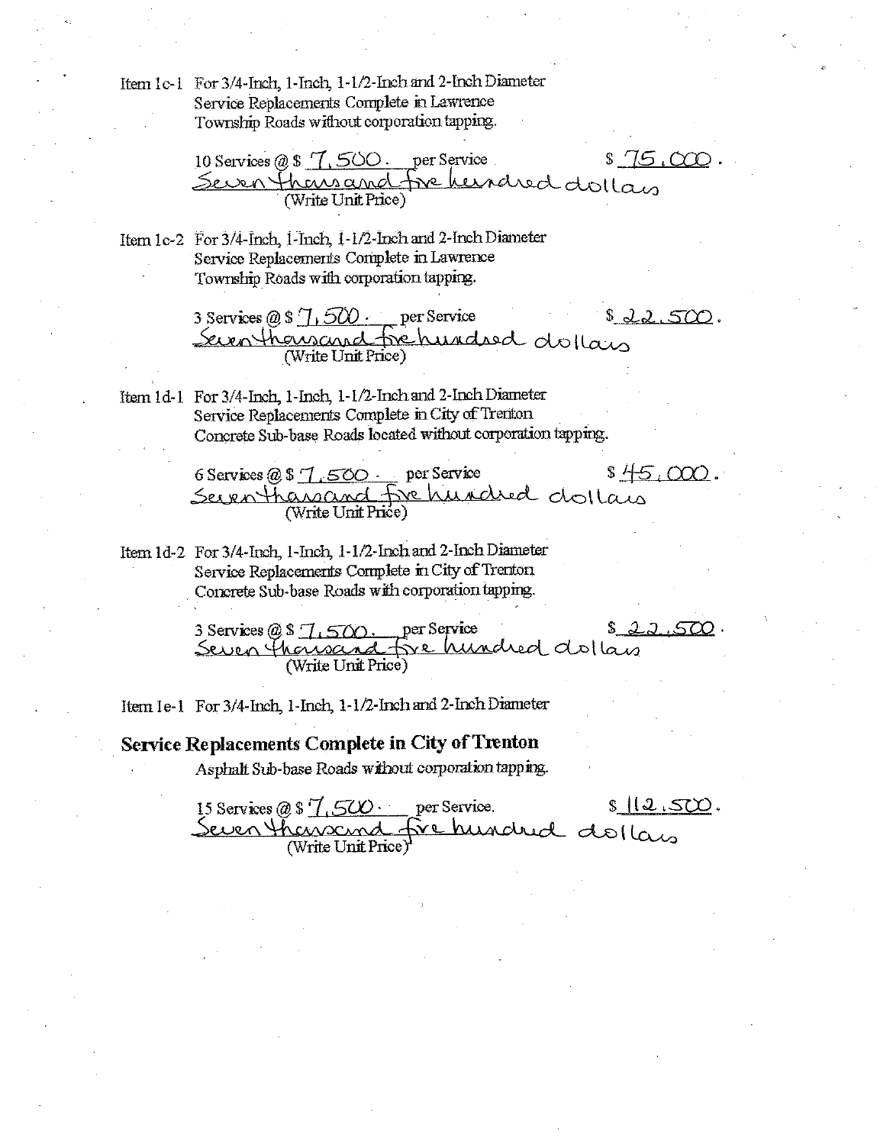Item 1c-1 For 3/4-Inch, 1-Inch, 1-1/2-Inch and 2-Inch Diameter Service Replacements Complete in Lawrence Township Roads without corporation tapping.

10 Services @ \$ 7,500. per Service \$ 75,000<br>Seven thems and five heirdred dollars

Item 1c-2 For 3/4-Inch, 1-Inch, 1-1/2-Inch and 2-Inch Diameter Service Replacements Complete in Lawrence Township Roads with corporation tapping.

> 3 Services @ \$ 7,500 per Service  $$22.500.$ Seven thousand fre hundred dollars

Item 1d-1 For 3/4-Inch, 1-Inch, 1-1/2-Inch and 2-Inch Diameter Service Replacements Complete in City of Trenton Concrete Sub-base Roads located without corporation tapping.

> $$45,000.$ 6 Services @ \$ 7.500 per Service Seven thansand fre hundred dollain (Write Unit Price)

Item 1d-2 For 3/4-Inch, 1-Inch, 1-1/2-Inch and 2-Inch Diameter Service Replacements Complete in City of Trenton Concrete Sub-base Roads with corporation tapping.

> 22500 per Service 3 Services  $@S \overline{1.500}$ . Seven thousand five hundred dollars (Write Unit Price)

Item 1e-1 For 3/4-Inch, 1-Inch, 1-1/2-Inch and 2-Inch Diameter

**Service Replacements Complete in City of Trenton** 

Asphalt Sub-base Roads without corporation tapping.

15 Services @ \$  $\frac{7}{1}$ , 500 · per Service.  $s12.500$ Seven thansand five hundred dollars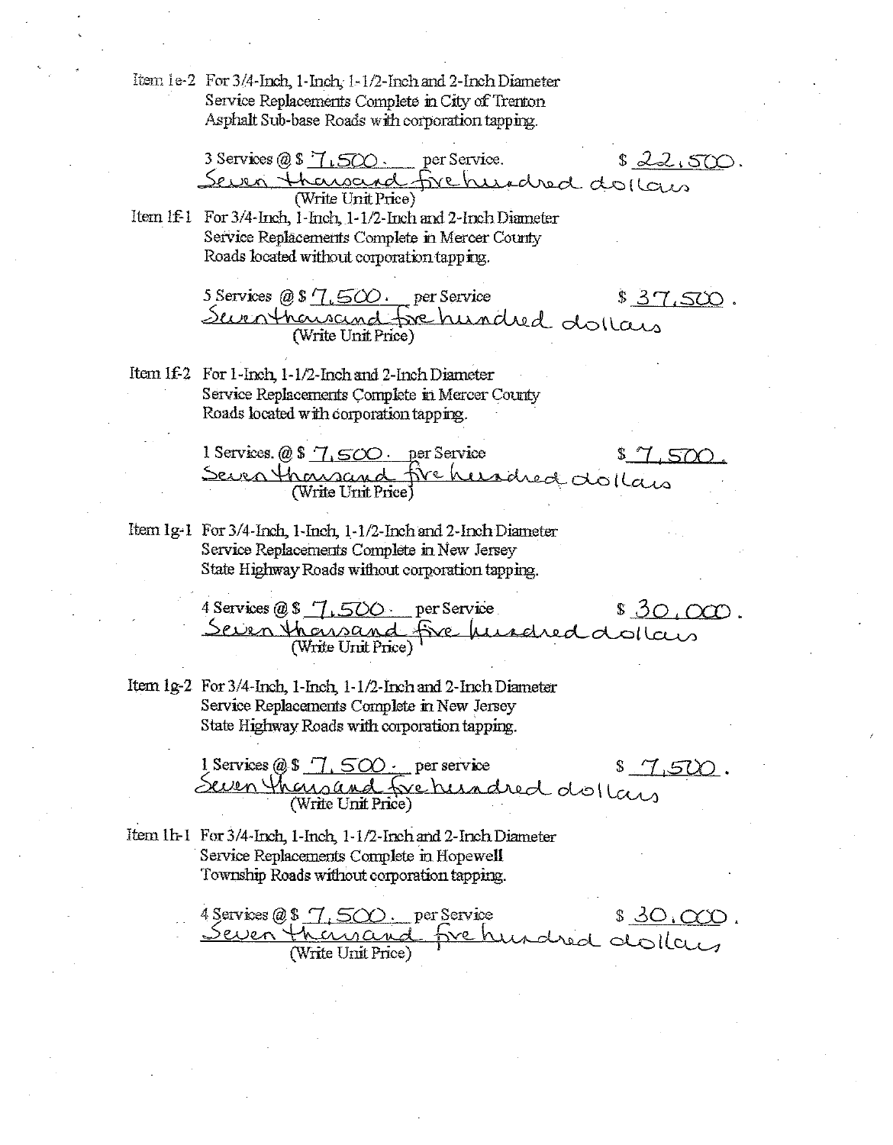Item 1e-2 For 3/4-Inch, 1-Inch, 1-1/2-Inch and 2-Inch Diameter Service Replacements Complete in City of Trenton Asphalt Sub-base Roads with corporation tapping.

> 3 Services @ \$  $7.500$  per Service.  $$22.500.$ Seven themsend fre hundred dollars (Write Unit Price)

Item If I For 3/4-Inch, I-Inch, 1-1/2-Inch and 2-Inch Diameter Service Replacements Complete in Mercer County Roads located without corporation tapping.

> 5 Services @ \$  $\sqrt{1.500}$ . per Service  $$37,500.$ Surnthousand fre hundred dollars (Write Unit Price)

Item 1f-2 For 1-Inch 1-1/2-Inch and 2-Inch Diameter Service Replacements Complete in Mercer County Roads located with corporation tapping.

> 1 Services.  $@$7.500.$  per Service  $$7.500$ Seven thousand fire hundred dollars (Write Unit Price)

Item 1g-1 For 3/4-Inch, 1-Inch, 1-1/2-Inch and 2-Inch Diameter Service Replacements Complete in New Jersey State Highway Roads without corporation tapping.

> 4 Services  $@S$  7, 500 per Service  $$30,000.$ Seven thansand five fu redred dollars (Write Unit Price)

Item 1g-2 For 3/4-Inch, 1-Inch, 1-1/2-Inch and 2-Inch Diameter Service Replacements Complete in New Jersey State Highway Roads with corporation tapping.

> 1 Services  $@$$  7, 500  $\cdot$  per service  $$1,500.$ Seven thousand fre hundred dollars (Write Unit Price)

Item 1h-1 For 3/4-Inch, 1-Inch, 1-1/2-Inch and 2-Inch Diameter Service Replacements Complete in Hopewell Township Roads without corporation tapping.

4 Services  $(0, 8, 7, 500)$ . per Service  $$30,000.$ Frehundred dollars Seven themand (Write Unit Price)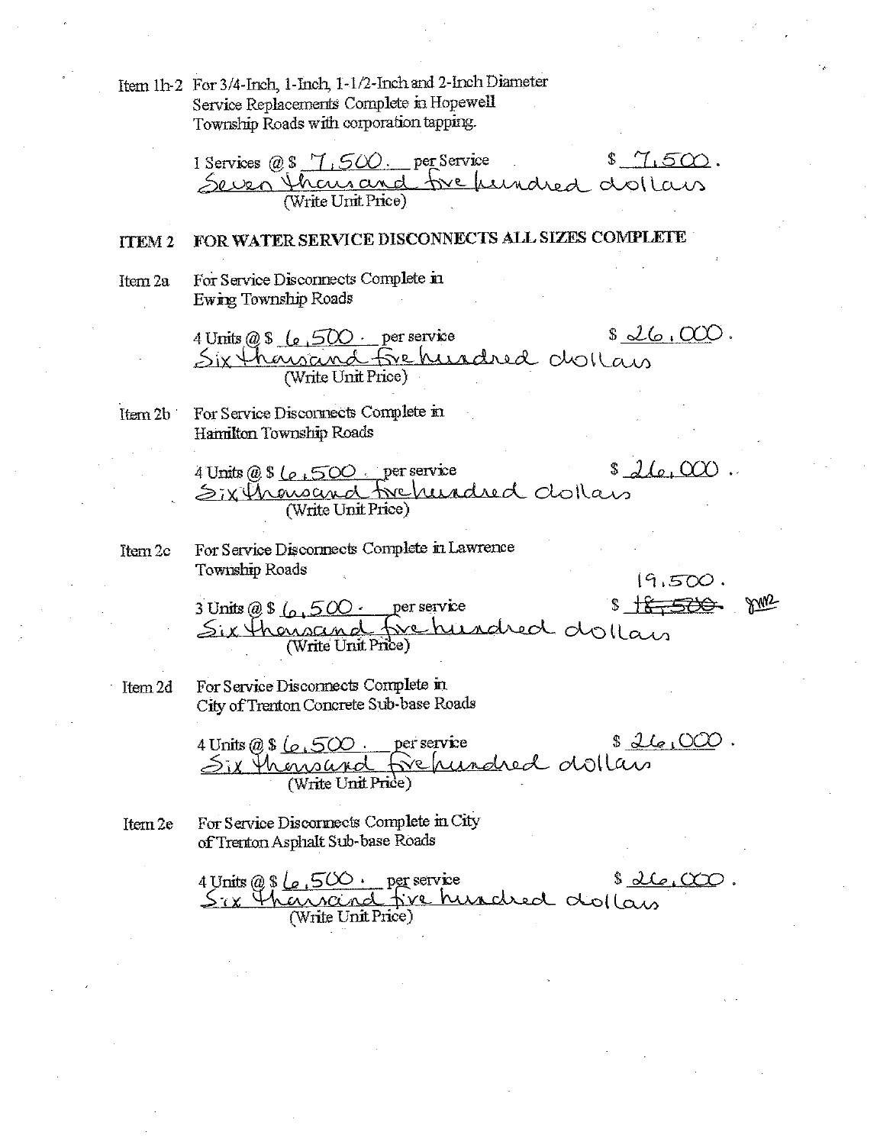Item 1h-2 For 3/4-Inch, 1-Inch, 1-1/2-Inch and 2-Inch Diameter Service Replacements Complete in Hopewell Township Roads with corporation tapping.

1 Services @ \$ 7,500. per Service  $$7.500.$ Seven than and fre fundred dollars

#### FOR WATER SERVICE DISCONNECTS ALL SIZES COMPLETE **TTEM2**

For Service Disconnects Complete in Item 2a Ewing Township Roads

 $$26.000.$ 4 Units @ \$ (e, 500 · per service Six thousand fre hundred dollars (Write Unit Price)

For Service Discornects Complete in Item 2b Hamilton Township Roads

> 4 Units  $@ 8 \_ 0 \_ 500$  per service  $$J(e,000.$ Six Chancened Frehendred dollars (Write Unit Price)

ftem 2c

For Service Disconnects Complete in Lawrence Township Roads

 $19.500.$ <br>S<del>18,500</del> pm

3 Units @ \$  $\left(0.500 \right)$  per service Six thousand five hundred dollars (Write Unit Price)

Item 2d

For Service Disconnects Complete in City of Trenton Concrete Sub-base Roads

4 Units @ \$  $\sqrt{6.500}$ . per service \$  $2\sqrt{6.000}$ . Six thousand fre hundred dollars (Write Unit Price)

For Service Discornects Complete in City Item 2e of Trenton Asphalt Sub-base Roads

> $s\underline{\partial}\mathcal{L}_{\epsilon_1}\alpha\alpha\mathcal{L}$ . 4 Units @ \$  $\ell_{\rho}$ , 500 · per service Six thancend five hundred dollars (Write Unit Price)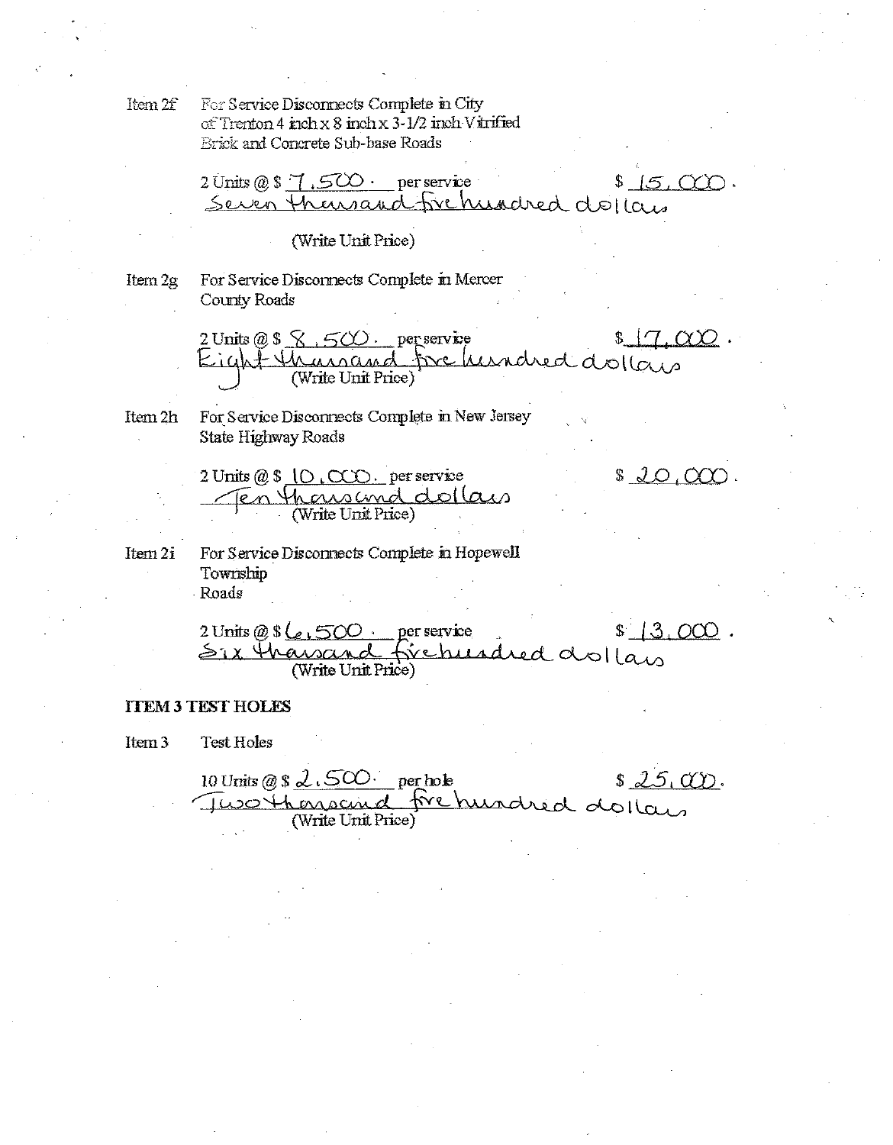For Service Disconnects Complete in City Item 2f of Trenton 4 inch x 8 inch x 3-1/2 inch Vitrified **Brick and Concrete Sub-base Roads** 

 $2 \text{ Units} \oslash 3 \text{ } 7.5 \text{ CO}$  per service  $$15,000.$ Seven Thansand frehundred dollars

#### (Write Unit Price)

Item 2g

For Service Disconnects Complete in Mercer County Roads

2 Units @ \$  $\bigotimes$ ,  $500$  per service  $\infty$ . twe hundred dollars Eight thanand (Write Unit Price)

 $$20,000.$ 

Item 2h For Service Disconnects Complete in New Jersey State Highway Roads

> 2 Units  $@$$   $|O$ ,  $CCD$ . per service En thousand dollars

For Service Disconnects Complete in Hopewell Item 2i Township Roads

 $$13.000.$ 2 Units @  $\$\<$  500 per service firehundred dollars Six thaw (Write Unit Price)

## **TTEM 3 TEST HOLES**

Item 3 Test Holes

10 Units @  $\frac{1}{2}$   $\sqrt{500}$  per hole  $$25,000.$ d frehundred dollars Two thorsain (Write Unit Price)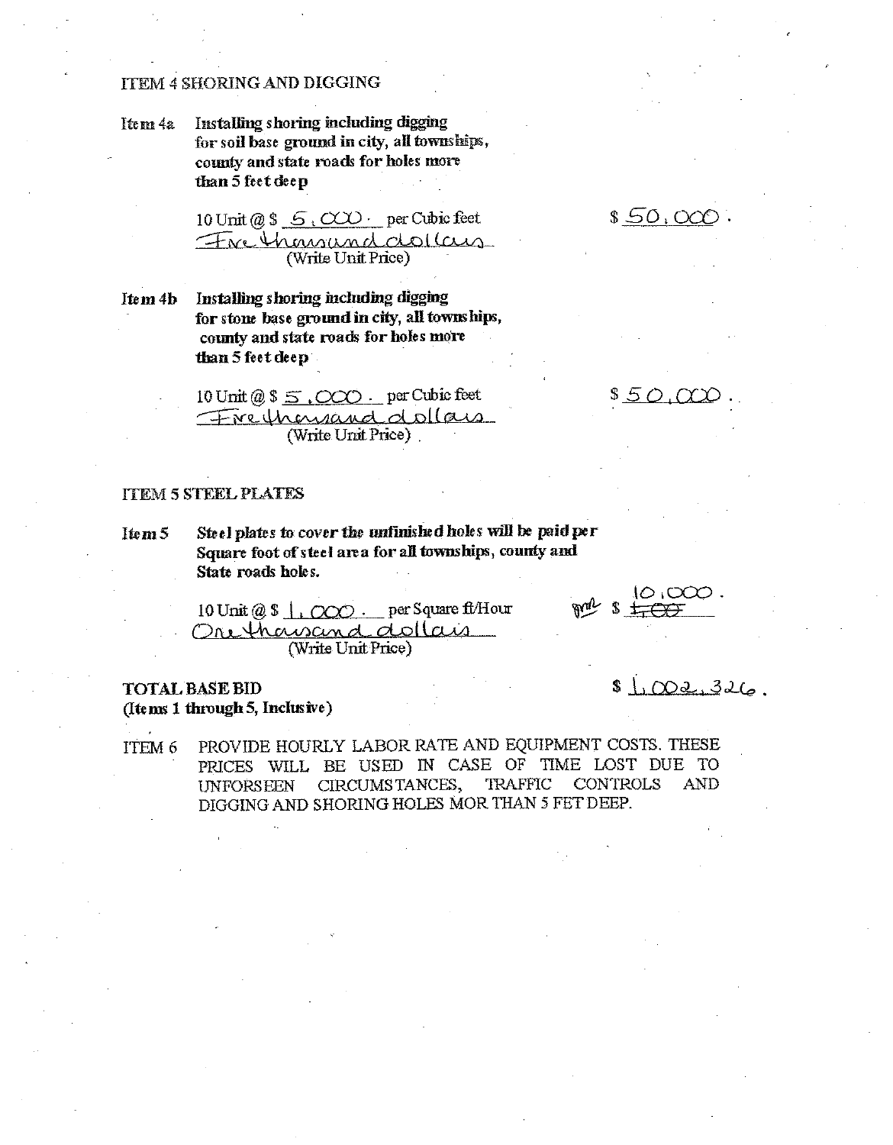## **ITEM 4 SHORING AND DIGGING**

Installing shoring including digging Item 4a for soil base ground in city, all townships, county and state roads for holes more than 5 feet deep

 $$50,000$ 

\$50.000

10 Unit @ \$  $\leq$  (CCC) per Cubic feet Fre thousund dollars (Write Unit Price)

Installing shoring including digging Item 4b for stone base ground in city, all townships, county and state roads for holes more than 5 feet deep

10 Unit @  $\frac{10}{5}$ ,  $\frac{000}{00}$ . per Cubic feet Freihenrand dollars (Write Unit Price).

## **TTEM 5 STEEL PLATES**

Steel plates to cover the unfinished holes will be paid per Item<sub>5</sub> Square foot of steel area for all townships, county and State roads holes.

10 Unit @ \$ 1, 000 . per Square ft/Hour Ore thousand dollars (Write Unit Price)

## **TOTAL BASE BID** (Items 1 through 5, Inclusive)

 $$1,002,326$ 

 $10,000$  .

PROVIDE HOURLY LABOR RATE AND EQUIPMENT COSTS. THESE ITEM 6 PRICES WILL BE USED IN CASE OF TIME LOST DUE TO CIRCUMSTANCES, **TRAFFIC CONTROLS AND UNFORSEEN** DIGGING AND SHORING HOLES MOR THAN 5 FET DEEP.